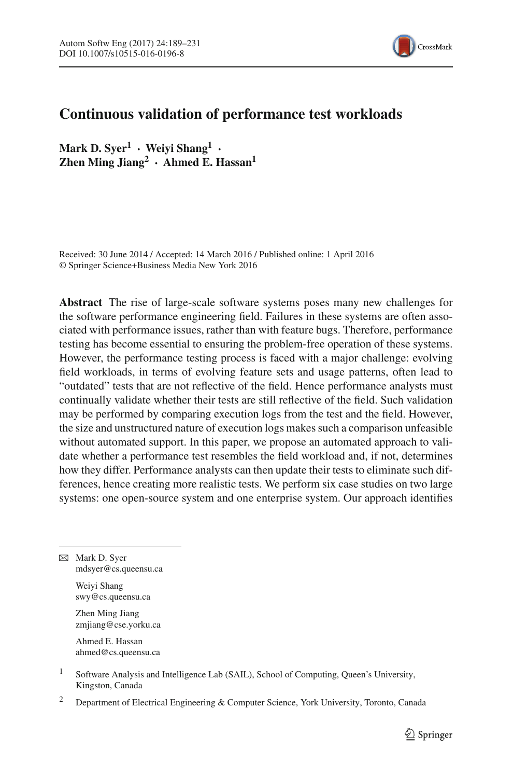

# **Continuous validation of performance test workloads**

**Mark D. Syer1 · Weiyi Shang1 · Zhen Ming Jiang<sup>2</sup> · Ahmed E. Hassan1**

Received: 30 June 2014 / Accepted: 14 March 2016 / Published online: 1 April 2016 © Springer Science+Business Media New York 2016

**Abstract** The rise of large-scale software systems poses many new challenges for the software performance engineering field. Failures in these systems are often associated with performance issues, rather than with feature bugs. Therefore, performance testing has become essential to ensuring the problem-free operation of these systems. However, the performance testing process is faced with a major challenge: evolving field workloads, in terms of evolving feature sets and usage patterns, often lead to "outdated" tests that are not reflective of the field. Hence performance analysts must continually validate whether their tests are still reflective of the field. Such validation may be performed by comparing execution logs from the test and the field. However, the size and unstructured nature of execution logs makes such a comparison unfeasible without automated support. In this paper, we propose an automated approach to validate whether a performance test resembles the field workload and, if not, determines how they differ. Performance analysts can then update their tests to eliminate such differences, hence creating more realistic tests. We perform six case studies on two large systems: one open-source system and one enterprise system. Our approach identifies

B Mark D. Syer mdsyer@cs.queensu.ca

Weiyi Shang swy@cs.queensu.ca

Zhen Ming Jiang zmjiang@cse.yorku.ca

Ahmed E. Hassan ahmed@cs.queensu.ca

- <sup>1</sup> Software Analysis and Intelligence Lab (SAIL), School of Computing, Queen's University, Kingston, Canada
- <sup>2</sup> Department of Electrical Engineering & Computer Science, York University, Toronto, Canada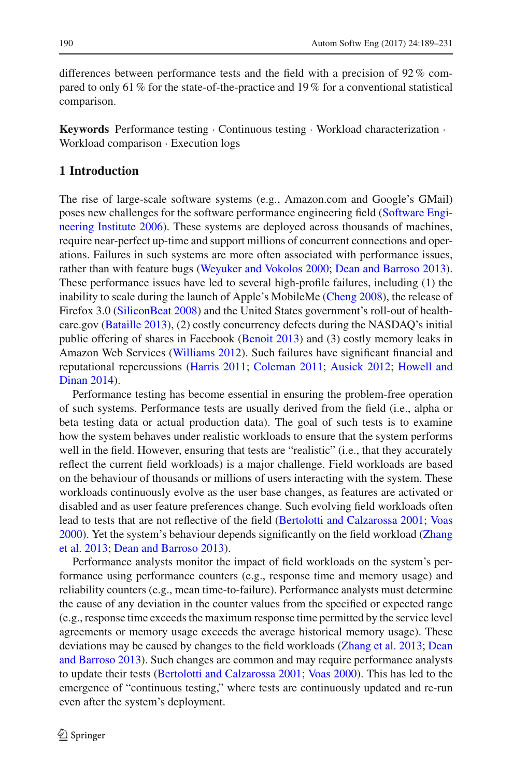differences between performance tests and the field with a precision of 92% compared to only 61% for the state-of-the-practice and 19% for a conventional statistical comparison.

**Keywords** Performance testing · Continuous testing · Workload characterization · Workload comparison · Execution logs

## **1 Introduction**

The rise of large-scale software systems (e.g., Amazon.com and Google's GMail) poses new chall[enges](#page-41-0) [for](#page-41-0) [the](#page-41-0) [software](#page-41-0) [performance](#page-41-0) [engineering](#page-41-0) [field](#page-41-0) [\(](#page-41-0)Software Engineering Institute [2006\)](#page-41-0). These systems are deployed across thousands of machines, require near-perfect up-time and support millions of concurrent connections and operations. Failures in such systems are more often associated with performance issues, rather than with feature bugs [\(Weyuker and Vokolos 2000;](#page-42-0) [Dean and Barroso 2013](#page-40-0)). These performance issues have led to several high-profile failures, including (1) the inability to scale during the launch of Apple's MobileMe [\(Cheng 2008\)](#page-39-0), the release of Firefox 3.0 [\(SiliconBeat 2008](#page-41-1)) and the United States government's roll-out of healthcare.gov [\(Bataille 2013](#page-39-1)), (2) costly concurrency defects during the NASDAQ's initial public offering of shares in Facebook [\(Benoit 2013\)](#page-39-2) and (3) costly memory leaks in Amazon Web Services [\(Williams 2012\)](#page-42-1). Such failures have significant financial and reput[ational](#page-40-3) [repercussions](#page-40-3) [\(Harris 2011](#page-40-1)[;](#page-40-3) [Coleman 2011;](#page-40-2) [Ausick 2012;](#page-39-3) Howell and Dinan [2014](#page-40-3)).

Performance testing has become essential in ensuring the problem-free operation of such systems. Performance tests are usually derived from the field (i.e., alpha or beta testing data or actual production data). The goal of such tests is to examine how the system behaves under realistic workloads to ensure that the system performs well in the field. However, ensuring that tests are "realistic" (i.e., that they accurately reflect the current field workloads) is a major challenge. Field workloads are based on the behaviour of thousands or millions of users interacting with the system. These workloads continuously evolve as the user base changes, as features are activated or disabled and as user feature preferences change. Such evolving field workloads often lead to tests that are not reflective of the field [\(Bertolotti and Calzarossa 2001](#page-39-4); [Voas](#page-42-2) [2000](#page-42-2)[\).](#page-42-3) [Yet](#page-42-3) [the](#page-42-3) [system's](#page-42-3) [behaviour](#page-42-3) [depends](#page-42-3) [significantly](#page-42-3) [on](#page-42-3) [the](#page-42-3) [field](#page-42-3) [workload](#page-42-3) [\(](#page-42-3)Zhang et al. [2013;](#page-42-3) [Dean and Barroso 2013](#page-40-0)).

Performance analysts monitor the impact of field workloads on the system's performance using performance counters (e.g., response time and memory usage) and reliability counters (e.g., mean time-to-failure). Performance analysts must determine the cause of any deviation in the counter values from the specified or expected range (e.g., response time exceeds the maximum response time permitted by the service level agreements or memory usage exceeds the average historical memory usage). These deviations [may](#page-40-0) [be](#page-40-0) [caused](#page-40-0) [by](#page-40-0) [changes](#page-40-0) [to](#page-40-0) [the](#page-40-0) [field](#page-40-0) [workloads](#page-40-0) [\(Zhang et al. 2013](#page-42-3)[;](#page-40-0) Dean and Barroso [2013](#page-40-0)). Such changes are common and may require performance analysts to update their tests [\(Bertolotti and Calzarossa 2001;](#page-39-4) [Voas 2000\)](#page-42-2). This has led to the emergence of "continuous testing," where tests are continuously updated and re-run even after the system's deployment.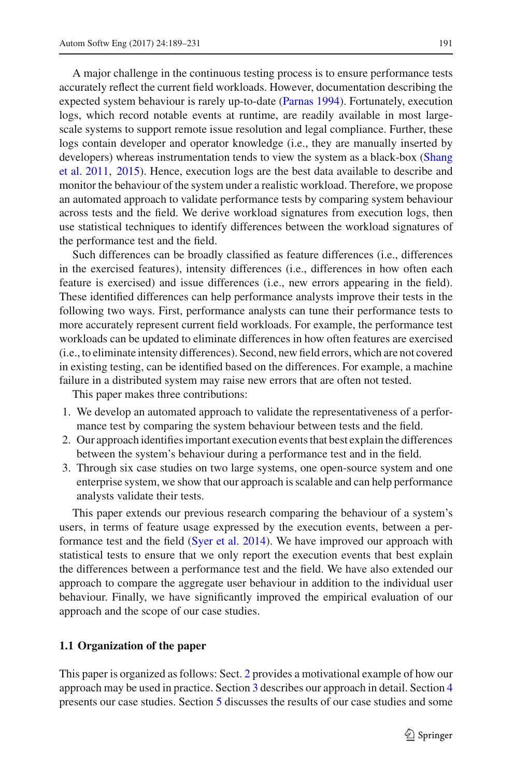A major challenge in the continuous testing process is to ensure performance tests accurately reflect the current field workloads. However, documentation describing the expected system behaviour is rarely up-to-date [\(Parnas 1994](#page-41-2)). Fortunately, execution logs, which record notable events at runtime, are readily available in most largescale systems to support remote issue resolution and legal compliance. Further, these logs contain developer and operator knowledge (i.e., they are manually inserted by deve[lopers\)](#page-41-3) [whereas](#page-41-3) [instrumentation](#page-41-3) [tends](#page-41-3) [to](#page-41-3) [view](#page-41-3) [the](#page-41-3) [system](#page-41-3) [as](#page-41-3) [a](#page-41-3) [black-box](#page-41-3) [\(](#page-41-3)Shang et al. [2011](#page-41-3), [2015\)](#page-41-4). Hence, execution logs are the best data available to describe and monitor the behaviour of the system under a realistic workload. Therefore, we propose an automated approach to validate performance tests by comparing system behaviour across tests and the field. We derive workload signatures from execution logs, then use statistical techniques to identify differences between the workload signatures of the performance test and the field.

Such differences can be broadly classified as feature differences (i.e., differences in the exercised features), intensity differences (i.e., differences in how often each feature is exercised) and issue differences (i.e., new errors appearing in the field). These identified differences can help performance analysts improve their tests in the following two ways. First, performance analysts can tune their performance tests to more accurately represent current field workloads. For example, the performance test workloads can be updated to eliminate differences in how often features are exercised (i.e., to eliminate intensity differences). Second, new field errors, which are not covered in existing testing, can be identified based on the differences. For example, a machine failure in a distributed system may raise new errors that are often not tested.

This paper makes three contributions:

- 1. We develop an automated approach to validate the representativeness of a performance test by comparing the system behaviour between tests and the field.
- 2. Our approach identifies important execution events that best explain the differences between the system's behaviour during a performance test and in the field.
- 3. Through six case studies on two large systems, one open-source system and one enterprise system, we show that our approach is scalable and can help performance analysts validate their tests.

This paper extends our previous research comparing the behaviour of a system's users, in terms of feature usage expressed by the execution events, between a performance test and the field [\(Syer et al. 2014\)](#page-41-5). We have improved our approach with statistical tests to ensure that we only report the execution events that best explain the differences between a performance test and the field. We have also extended our approach to compare the aggregate user behaviour in addition to the individual user behaviour. Finally, we have significantly improved the empirical evaluation of our approach and the scope of our case studies.

### **1.1 Organization of the paper**

This paper is organized as follows: Sect. [2](#page-3-0) provides a motivational example of how our approach may be used in practice. Section [3](#page-4-0) describes our approach in detail. Section [4](#page-19-0) presents our case studies. Section [5](#page-30-0) discusses the results of our case studies and some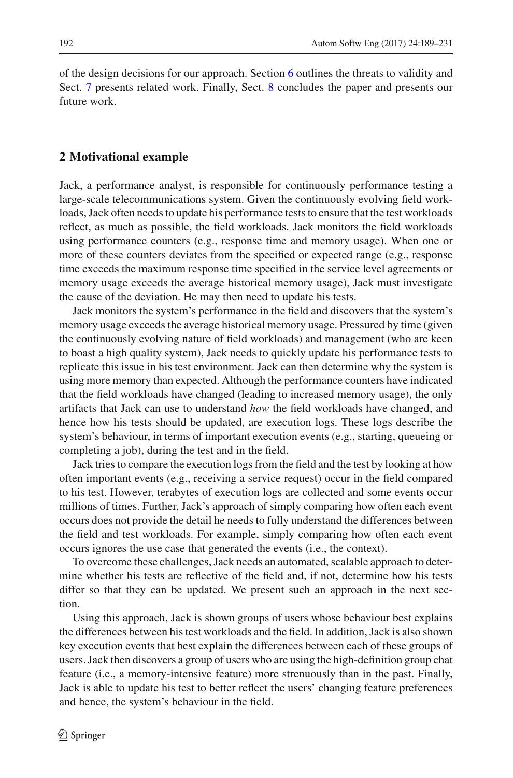of the design decisions for our approach. Section [6](#page-33-0) outlines the threats to validity and Sect. [7](#page-37-0) presents related work. Finally, Sect. [8](#page-38-0) concludes the paper and presents our future work.

## <span id="page-3-0"></span>**2 Motivational example**

Jack, a performance analyst, is responsible for continuously performance testing a large-scale telecommunications system. Given the continuously evolving field workloads, Jack often needs to update his performance tests to ensure that the test workloads reflect, as much as possible, the field workloads. Jack monitors the field workloads using performance counters (e.g., response time and memory usage). When one or more of these counters deviates from the specified or expected range (e.g., response time exceeds the maximum response time specified in the service level agreements or memory usage exceeds the average historical memory usage), Jack must investigate the cause of the deviation. He may then need to update his tests.

Jack monitors the system's performance in the field and discovers that the system's memory usage exceeds the average historical memory usage. Pressured by time (given the continuously evolving nature of field workloads) and management (who are keen to boast a high quality system), Jack needs to quickly update his performance tests to replicate this issue in his test environment. Jack can then determine why the system is using more memory than expected. Although the performance counters have indicated that the field workloads have changed (leading to increased memory usage), the only artifacts that Jack can use to understand *how* the field workloads have changed, and hence how his tests should be updated, are execution logs. These logs describe the system's behaviour, in terms of important execution events (e.g., starting, queueing or completing a job), during the test and in the field.

Jack tries to compare the execution logs from the field and the test by looking at how often important events (e.g., receiving a service request) occur in the field compared to his test. However, terabytes of execution logs are collected and some events occur millions of times. Further, Jack's approach of simply comparing how often each event occurs does not provide the detail he needs to fully understand the differences between the field and test workloads. For example, simply comparing how often each event occurs ignores the use case that generated the events (i.e., the context).

To overcome these challenges, Jack needs an automated, scalable approach to determine whether his tests are reflective of the field and, if not, determine how his tests differ so that they can be updated. We present such an approach in the next section.

Using this approach, Jack is shown groups of users whose behaviour best explains the differences between his test workloads and the field. In addition, Jack is also shown key execution events that best explain the differences between each of these groups of users. Jack then discovers a group of users who are using the high-definition group chat feature (i.e., a memory-intensive feature) more strenuously than in the past. Finally, Jack is able to update his test to better reflect the users' changing feature preferences and hence, the system's behaviour in the field.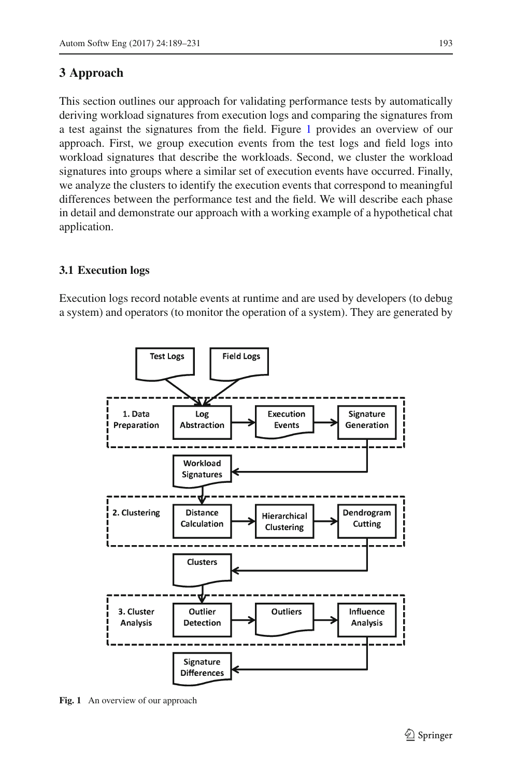## <span id="page-4-0"></span>**3 Approach**

This section outlines our approach for validating performance tests by automatically deriving workload signatures from execution logs and comparing the signatures from a test against the signatures from the field. Figure [1](#page-4-1) provides an overview of our approach. First, we group execution events from the test logs and field logs into workload signatures that describe the workloads. Second, we cluster the workload signatures into groups where a similar set of execution events have occurred. Finally, we analyze the clusters to identify the execution events that correspond to meaningful differences between the performance test and the field. We will describe each phase in detail and demonstrate our approach with a working example of a hypothetical chat application.

## **3.1 Execution logs**

Execution logs record notable events at runtime and are used by developers (to debug a system) and operators (to monitor the operation of a system). They are generated by



<span id="page-4-1"></span>Fig. 1 An overview of our approach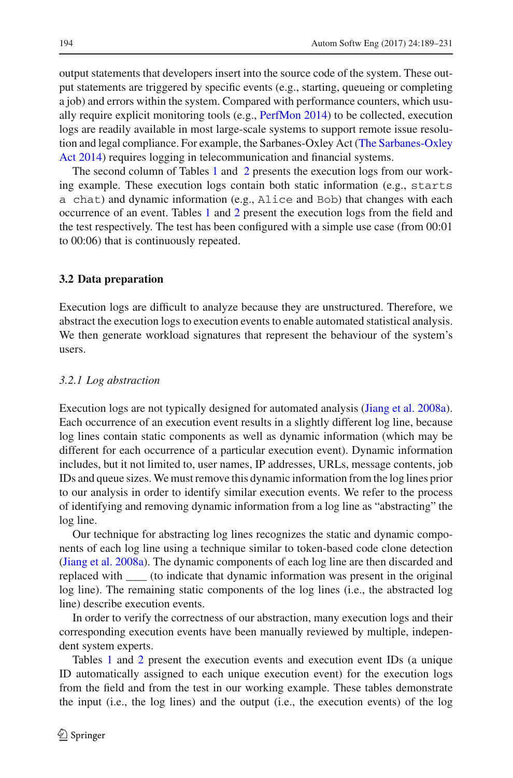output statements that developers insert into the source code of the system. These output statements are triggered by specific events (e.g., starting, queueing or completing a job) and errors within the system. Compared with performance counters, which usually require explicit monitoring tools (e.g., [PerfMon 2014\)](#page-41-6) to be collected, execution logs are readily available in most large-scale systems to support remote issue resolutio[n](#page-42-4) [and](#page-42-4) [legal](#page-42-4) [compliance.](#page-42-4) [For](#page-42-4) [example,](#page-42-4) [the](#page-42-4) [Sarbanes-Oxley](#page-42-4) [Act](#page-42-4) [\(](#page-42-4)The Sarbanes-Oxley Act [2014\)](#page-42-4) requires logging in telecommunication and financial systems.

The second column of Tables [1](#page-6-0) and [2](#page-7-0) presents the execution logs from our working example. These execution logs contain both static information (e.g., starts a chat) and dynamic information (e.g., Alice and Bob) that changes with each occurrence of an event. Tables [1](#page-6-0) and [2](#page-7-0) present the execution logs from the field and the test respectively. The test has been configured with a simple use case (from 00:01 to 00:06) that is continuously repeated.

### **3.2 Data preparation**

Execution logs are difficult to analyze because they are unstructured. Therefore, we abstract the execution logs to execution events to enable automated statistical analysis. We then generate workload signatures that represent the behaviour of the system's users.

#### *3.2.1 Log abstraction*

Execution logs are not typically designed for automated analysis [\(Jiang et al. 2008a](#page-40-4)). Each occurrence of an execution event results in a slightly different log line, because log lines contain static components as well as dynamic information (which may be different for each occurrence of a particular execution event). Dynamic information includes, but it not limited to, user names, IP addresses, URLs, message contents, job IDs and queue sizes. We must remove this dynamic information from the log lines prior to our analysis in order to identify similar execution events. We refer to the process of identifying and removing dynamic information from a log line as "abstracting" the log line.

Our technique for abstracting log lines recognizes the static and dynamic components of each log line using a technique similar to token-based code clone detection [\(Jiang et al. 2008a](#page-40-4)). The dynamic components of each log line are then discarded and replaced with \_\_\_ (to indicate that dynamic information was present in the original log line). The remaining static components of the log lines (i.e., the abstracted log line) describe execution events.

In order to verify the correctness of our abstraction, many execution logs and their corresponding execution events have been manually reviewed by multiple, independent system experts.

Tables [1](#page-6-0) and [2](#page-7-0) present the execution events and execution event IDs (a unique ID automatically assigned to each unique execution event) for the execution logs from the field and from the test in our working example. These tables demonstrate the input (i.e., the log lines) and the output (i.e., the execution events) of the log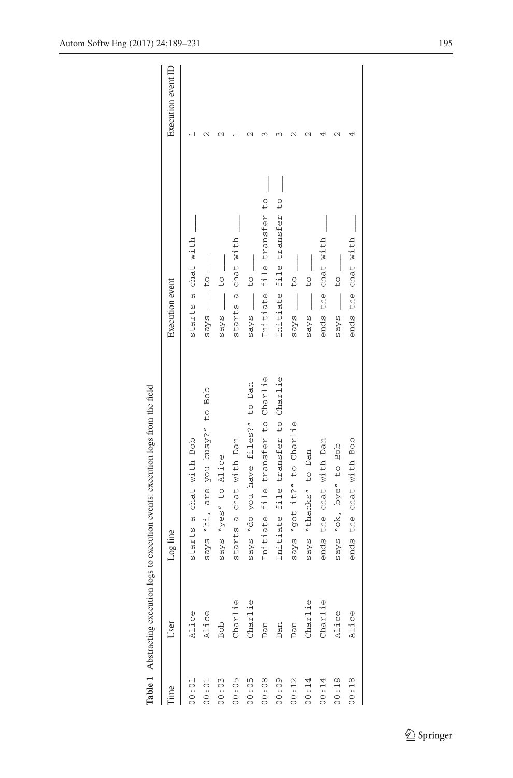|       |                    | <b>lable 1</b> Abstracting execution logs to execution events: execution logs from the field |                           |                    |
|-------|--------------------|----------------------------------------------------------------------------------------------|---------------------------|--------------------|
| lime  | User               | Log line                                                                                     | Execution event           | Execution event ID |
| 00:01 | Alice              | starts a chat with Bob                                                                       | starts a chat with        |                    |
| 00:01 | Alice              | says "hi, are you busy?" to Bob                                                              | to<br>says                |                    |
| 00:03 | Bob                | says "yes" to Alice                                                                          | $\frac{1}{2}$<br>says     |                    |
| 00:05 |                    | starts a chat with Dan                                                                       | starts a chat with        |                    |
| 00:05 | Charlie<br>Charlie | says "do you have files?" to Dan                                                             | says __                   |                    |
| 00:08 |                    | Initiate file transfer to Charlie                                                            | Initiate file transfer to |                    |
| 00:09 | Dan<br>Dan<br>Dan  | Initiate file transfer to Charlie                                                            | Initiate file transfer to |                    |
| 00:12 |                    | says "got it?" to Charlie                                                                    | to<br>says                |                    |
| 00:14 | Charlie            | "thanks" to Dan<br>says                                                                      | $\overline{1}$<br>says    |                    |
| 00:14 | Charlie            | ends the chat with Dan                                                                       | the chat with<br>ends     |                    |
| 00:18 | Alice              | says "ok, bye" to Bob                                                                        | $\overline{1}$<br>says    |                    |
| 00:18 | Alice              | ends the chat with Bob                                                                       | ends the chat with        |                    |
|       |                    |                                                                                              |                           |                    |

<span id="page-6-0"></span>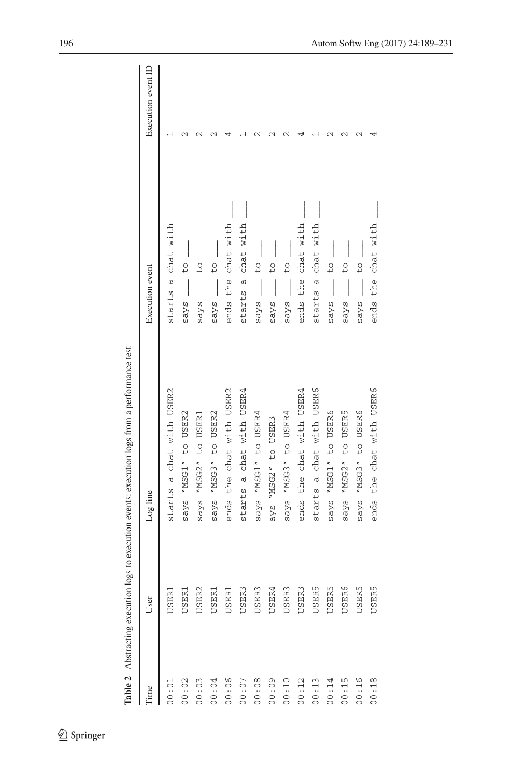|       | <b>Table 2</b> Abstracting execution | logs to execution events: execution logs from a performance test |                          |                    |
|-------|--------------------------------------|------------------------------------------------------------------|--------------------------|--------------------|
| Time  | User                                 | Log line                                                         | Execution event          | Execution event ID |
| 00:01 | USER1                                | starts a chat with USER2                                         | a chat with<br>starts    |                    |
| 00:02 | USER1                                | "MSG1" to USER2<br>says                                          | to<br>says               |                    |
| 00:03 | USER2                                | "MSG2" to USER1<br>says                                          | to<br>says               |                    |
| 00:04 | USER1                                | "MSG3" to USER2<br>says                                          | to<br>says               |                    |
| 00:06 | USER1                                | the chat with USER2<br>ends                                      | chat with<br>the<br>ends |                    |
| 00:07 | USER <sub>3</sub>                    | starts a chat with USER4                                         | chat with<br>starts a    |                    |
| 00:08 | USER3                                | says "MSG1" to USER4                                             | to<br>says               |                    |
| 00:00 | USER4                                | ays "MSG2" to USER3                                              | to<br>says               |                    |
| 00:10 | USER3                                | says "MSG3" to USER4                                             | to<br>says               |                    |
| 00:12 | USER3                                | ends the chat with USER4                                         | chat with<br>the<br>ends |                    |
| 00:13 | <b>USER5</b>                         | starts a chat with USER6                                         | chat with<br>starts a    |                    |
| 00:14 | <b>USER5</b>                         | says "MSG1" to USER6                                             | to<br>says               |                    |
| 00:15 | USER6                                | to USER5<br>"MSG2"<br>says                                       | to<br>says               |                    |
| 00:16 | <b>USER5</b>                         | "MSG3" to USER6<br>says                                          | to<br>says               |                    |
| 00:18 | USER5                                | the chat with USER6<br>ends                                      | the chat with<br>ends    |                    |
|       |                                      |                                                                  |                          |                    |

<span id="page-7-0"></span>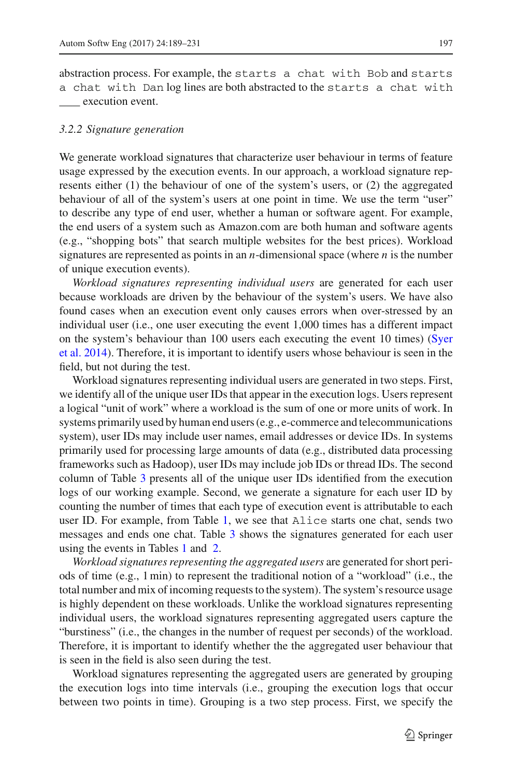abstraction process. For example, the starts a chat with Bob and starts a chat with Dan log lines are both abstracted to the starts a chat with execution event.

#### <span id="page-8-0"></span>*3.2.2 Signature generation*

We generate workload signatures that characterize user behaviour in terms of feature usage expressed by the execution events. In our approach, a workload signature represents either (1) the behaviour of one of the system's users, or (2) the aggregated behaviour of all of the system's users at one point in time. We use the term "user" to describe any type of end user, whether a human or software agent. For example, the end users of a system such as Amazon.com are both human and software agents (e.g., "shopping bots" that search multiple websites for the best prices). Workload signatures are represented as points in an *n*-dimensional space (where *n* is the number of unique execution events).

*Workload signatures representing individual users* are generated for each user because workloads are driven by the behaviour of the system's users. We have also found cases when an execution event only causes errors when over-stressed by an individual user (i.e., one user executing the event 1,000 times has a different impact on t[he](#page-41-5) [system's](#page-41-5) [behaviour](#page-41-5) [than](#page-41-5) [100](#page-41-5) [users](#page-41-5) [each](#page-41-5) [executing](#page-41-5) [the](#page-41-5) [event](#page-41-5) [10](#page-41-5) [times\)](#page-41-5) [\(](#page-41-5)Syer et al. [2014\)](#page-41-5). Therefore, it is important to identify users whose behaviour is seen in the field, but not during the test.

Workload signatures representing individual users are generated in two steps. First, we identify all of the unique user IDs that appear in the execution logs. Users represent a logical "unit of work" where a workload is the sum of one or more units of work. In systems primarily used by human end users (e.g., e-commerce and telecommunications system), user IDs may include user names, email addresses or device IDs. In systems primarily used for processing large amounts of data (e.g., distributed data processing frameworks such as Hadoop), user IDs may include job IDs or thread IDs. The second column of Table [3](#page-9-0) presents all of the unique user IDs identified from the execution logs of our working example. Second, we generate a signature for each user ID by counting the number of times that each type of execution event is attributable to each user ID. For example, from Table [1,](#page-6-0) we see that Alice starts one chat, sends two messages and ends one chat. Table [3](#page-9-0) shows the signatures generated for each user using the events in Tables [1](#page-6-0) and [2.](#page-7-0)

*Workload signatures representing the aggregated users* are generated for short periods of time (e.g., 1 min) to represent the traditional notion of a "workload" (i.e., the total number and mix of incoming requests to the system). The system's resource usage is highly dependent on these workloads. Unlike the workload signatures representing individual users, the workload signatures representing aggregated users capture the "burstiness" (i.e., the changes in the number of request per seconds) of the workload. Therefore, it is important to identify whether the the aggregated user behaviour that is seen in the field is also seen during the test.

Workload signatures representing the aggregated users are generated by grouping the execution logs into time intervals (i.e., grouping the execution logs that occur between two points in time). Grouping is a two step process. First, we specify the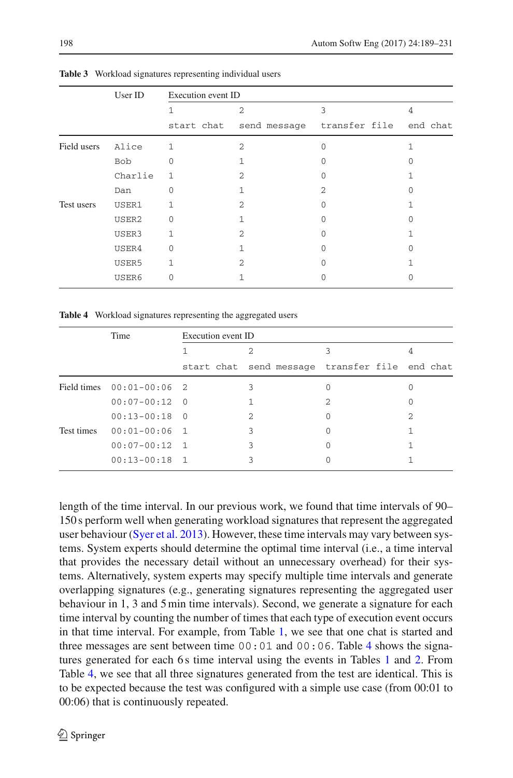<span id="page-9-0"></span>

|             | User ID | Execution event ID |                |                                                |   |
|-------------|---------|--------------------|----------------|------------------------------------------------|---|
|             |         | 1                  | $\mathfrak{D}$ | 3                                              | 4 |
|             |         |                    |                | start chat send message transfer file end chat |   |
| Field users | Alice   | $\mathbf{1}$       | $\mathfrak{D}$ |                                                |   |
|             | Bob     | $\Omega$           |                | U                                              |   |
|             | Charlie | $\mathbf{1}$       | $\mathfrak{D}$ |                                                |   |
|             | Dan     | $\Omega$           |                | 2                                              |   |
| Test users  | USER1   | 1                  | $\mathfrak{D}$ |                                                |   |
|             | USER2   | $\Omega$           |                | U                                              |   |
|             | USER3   | 1                  | $\mathfrak{D}$ |                                                |   |
|             | USER4   | $\Omega$           |                |                                                |   |
|             | USER5   | 1                  | 2              |                                                |   |
|             | USER6   | 0                  |                |                                                |   |

**Table 3** Workload signatures representing individual users

**Table 4** Workload signatures representing the aggregated users

<span id="page-9-1"></span>

|            | Time                        | Execution event ID |   |                                                |   |
|------------|-----------------------------|--------------------|---|------------------------------------------------|---|
|            |                             |                    | 2 |                                                |   |
|            |                             |                    |   | start chat send message transfer file end chat |   |
|            | Field times $00:01-00:06$ 2 |                    | 3 |                                                |   |
|            | $00:07-00:12$ 0             |                    |   | 2                                              |   |
|            | $00:13-00:18$ 0             |                    | 2 | 0                                              | 2 |
| Test times | $00:01-00:06$ 1             |                    | 3 | 0                                              |   |
|            | $00:07-00:12$ 1             |                    | 3 |                                                |   |
|            | $00:13-00:18$ 1             |                    | 3 |                                                |   |

length of the time interval. In our previous work, we found that time intervals of 90– 150 s perform well when generating workload signatures that represent the aggregated user behaviour [\(Syer et al. 2013](#page-41-7)). However, these time intervals may vary between systems. System experts should determine the optimal time interval (i.e., a time interval that provides the necessary detail without an unnecessary overhead) for their systems. Alternatively, system experts may specify multiple time intervals and generate overlapping signatures (e.g., generating signatures representing the aggregated user behaviour in 1, 3 and 5 min time intervals). Second, we generate a signature for each time interval by counting the number of times that each type of execution event occurs in that time interval. For example, from Table [1,](#page-6-0) we see that one chat is started and three messages are sent between time  $00:01$  and  $00:06$ . Table [4](#page-9-1) shows the signa-tures generated for each 6s time interval using the events in Tables [1](#page-6-0) and [2.](#page-7-0) From Table [4,](#page-9-1) we see that all three signatures generated from the test are identical. This is to be expected because the test was configured with a simple use case (from 00:01 to 00:06) that is continuously repeated.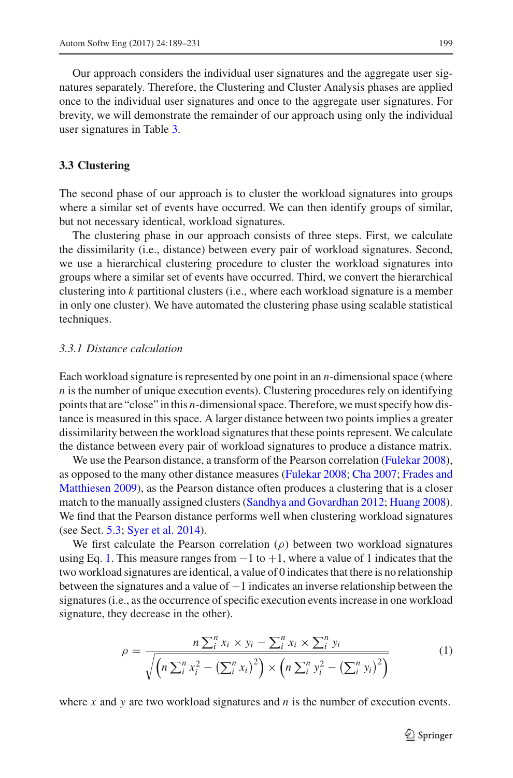Our approach considers the individual user signatures and the aggregate user signatures separately. Therefore, the Clustering and Cluster Analysis phases are applied once to the individual user signatures and once to the aggregate user signatures. For brevity, we will demonstrate the remainder of our approach using only the individual user signatures in Table [3.](#page-9-0)

#### **3.3 Clustering**

The second phase of our approach is to cluster the workload signatures into groups where a similar set of events have occurred. We can then identify groups of similar, but not necessary identical, workload signatures.

The clustering phase in our approach consists of three steps. First, we calculate the dissimilarity (i.e., distance) between every pair of workload signatures. Second, we use a hierarchical clustering procedure to cluster the workload signatures into groups where a similar set of events have occurred. Third, we convert the hierarchical clustering into *k* partitional clusters (i.e., where each workload signature is a member in only one cluster). We have automated the clustering phase using scalable statistical techniques.

#### *3.3.1 Distance calculation*

Each workload signature is represented by one point in an *n*-dimensional space (where *n* is the number of unique execution events). Clustering procedures rely on identifying points that are "close" in this *n*-dimensional space. Therefore, we must specify how distance is measured in this space. A larger distance between two points implies a greater dissimilarity between the workload signatures that these points represent. We calculate the distance between every pair of workload signatures to produce a distance matrix.

We use the Pearson distance, a transform of the Pearson correlation [\(Fulekar 2008](#page-40-5)), as opposed [to](#page-40-6) [the](#page-40-6) [many](#page-40-6) [other](#page-40-6) [distance](#page-40-6) [measures](#page-40-6) [\(Fulekar 2008](#page-40-5)[;](#page-40-6) [Cha 2007](#page-39-5); Frades and Matthiesen [2009](#page-40-6)), as the Pearson distance often produces a clustering that is a closer match to the manually assigned clusters [\(Sandhya and Govardhan 2012](#page-41-8); [Huang 2008](#page-40-7)). We find that the Pearson distance performs well when clustering workload signatures (see Sect. [5.3;](#page-31-0) [Syer et al. 2014\)](#page-41-5).

We first calculate the Pearson correlation  $(\rho)$  between two workload signatures using Eq. [1.](#page-10-0) This measure ranges from  $-1$  to  $+1$ , where a value of 1 indicates that the two workload signatures are identical, a value of 0 indicates that there is no relationship between the signatures and a value of −1 indicates an inverse relationship between the signatures (i.e., as the occurrence of specific execution events increase in one workload signature, they decrease in the other).

<span id="page-10-0"></span>
$$
\rho = \frac{n \sum_{i}^{n} x_{i} \times y_{i} - \sum_{i}^{n} x_{i} \times \sum_{i}^{n} y_{i}}{\sqrt{\left(n \sum_{i}^{n} x_{i}^{2} - \left(\sum_{i}^{n} x_{i}\right)^{2}\right) \times \left(n \sum_{i}^{n} y_{i}^{2} - \left(\sum_{i}^{n} y_{i}\right)^{2}\right)}}
$$
(1)

where *x* and *y* are two workload signatures and *n* is the number of execution events.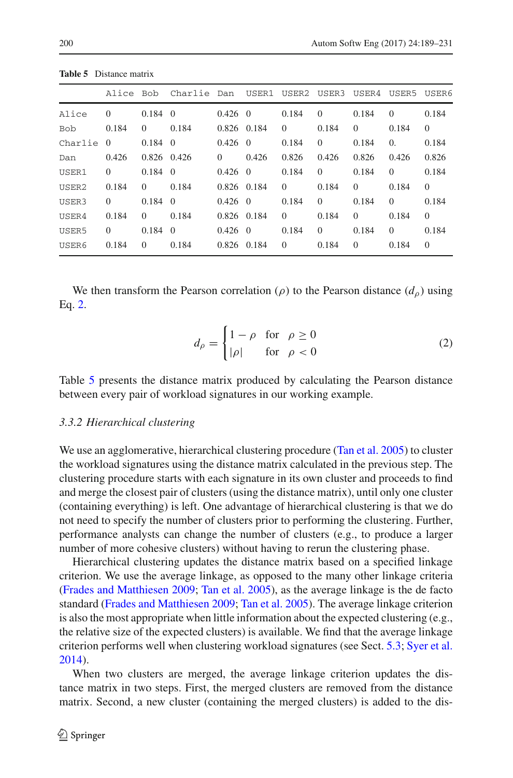<span id="page-11-1"></span>

|            | Alice Bob |                 | Charlie Dan    |                 |             | USER1 USER2 USER3 |          | USER4 USER5 |            | USER6    |
|------------|-----------|-----------------|----------------|-----------------|-------------|-------------------|----------|-------------|------------|----------|
| Alice      | $\Omega$  | 0.184           | $\overline{0}$ | $0.426 \quad 0$ |             | 0.184             | $\Omega$ | 0.184       | $\Omega$   | 0.184    |
| <b>Bob</b> | 0.184     | $\Omega$        | 0.184          |                 | 0.826 0.184 | $\Omega$          | 0.184    | $\Omega$    | 0.184      | $\theta$ |
| Charlie    | $\Omega$  | $0.184 \quad 0$ |                | $0.426 \quad 0$ |             | 0.184             | $\Omega$ | 0.184       | $\Omega$ . | 0.184    |
| Dan        | 0.426     |                 | 0.826 0.426    | $\Omega$        | 0.426       | 0.826             | 0.426    | 0.826       | 0.426      | 0.826    |
| USER1      | $\Omega$  | 0.184           | $\theta$       | $0.426 \quad 0$ |             | 0.184             | $\Omega$ | 0.184       | $\Omega$   | 0.184    |
| USER2      | 0.184     | $\Omega$        | 0.184          |                 | 0.826 0.184 | $\Omega$          | 0.184    | $\Omega$    | 0.184      | $\Omega$ |
| USER3      | $\Omega$  | 0.184           | $\Omega$       | $0.426 \quad 0$ |             | 0.184             | $\Omega$ | 0.184       | $\Omega$   | 0.184    |
| USER4      | 0.184     | $\Omega$        | 0.184          | 0.826 0.184     |             | $\Omega$          | 0.184    | $\Omega$    | 0.184      | $\Omega$ |

**Table 5** Distance matrix

We then transform the Pearson correlation ( $\rho$ ) to the Pearson distance ( $d_{\rho}$ ) using Eq. [2.](#page-11-0)

USER5 0 0.184 0 0.426 0 0.184 0 0.184 0 0.184 USER6 0.184 0 0.184 0.826 0.184 0 0.184 0 0.184 0

<span id="page-11-0"></span>
$$
d_{\rho} = \begin{cases} 1 - \rho & \text{for } \rho \ge 0 \\ |\rho| & \text{for } \rho < 0 \end{cases}
$$
 (2)

Table [5](#page-11-1) presents the distance matrix produced by calculating the Pearson distance between every pair of workload signatures in our working example.

#### *3.3.2 Hierarchical clustering*

We use an agglomerative, hierarchical clustering procedure [\(Tan et al. 2005](#page-42-5)) to cluster the workload signatures using the distance matrix calculated in the previous step. The clustering procedure starts with each signature in its own cluster and proceeds to find and merge the closest pair of clusters (using the distance matrix), until only one cluster (containing everything) is left. One advantage of hierarchical clustering is that we do not need to specify the number of clusters prior to performing the clustering. Further, performance analysts can change the number of clusters (e.g., to produce a larger number of more cohesive clusters) without having to rerun the clustering phase.

Hierarchical clustering updates the distance matrix based on a specified linkage criterion. We use the average linkage, as opposed to the many other linkage criteria [\(Frades and Matthiesen 2009](#page-40-6); [Tan et al. 2005](#page-42-5)), as the average linkage is the de facto standard [\(Frades and Matthiesen 2009;](#page-40-6) [Tan et al. 2005](#page-42-5)). The average linkage criterion is also the most appropriate when little information about the expected clustering (e.g., the relative size of the expected clusters) is available. We find that the average linkage criterion performs well when clustering workload signatures (see Sect. [5.3;](#page-31-0) [Syer et al.](#page-41-5) [2014\)](#page-41-5).

When two clusters are merged, the average linkage criterion updates the distance matrix in two steps. First, the merged clusters are removed from the distance matrix. Second, a new cluster (containing the merged clusters) is added to the dis-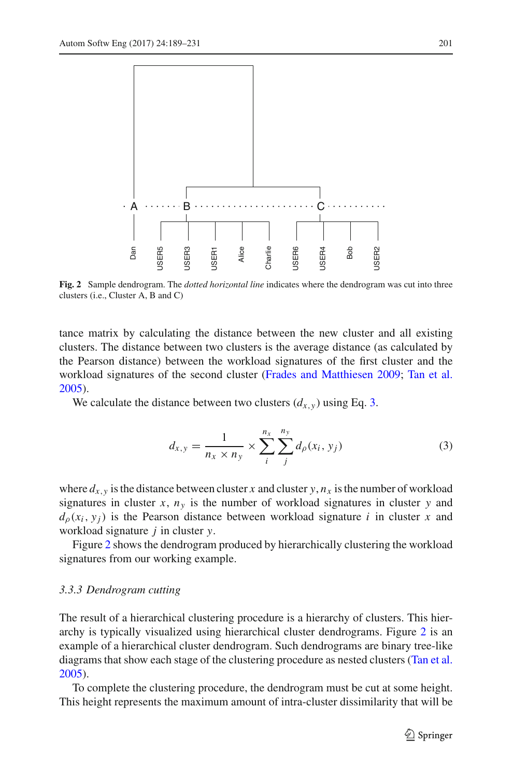

<span id="page-12-1"></span>**Fig. 2** Sample dendrogram. The *dotted horizontal line* indicates where the dendrogram was cut into three clusters (i.e., Cluster A, B and C)

tance matrix by calculating the distance between the new cluster and all existing clusters. The distance between two clusters is the average distance (as calculated by the Pearson distance) between the workload signatures of the first cluster and the workload signatures of the second cluster [\(Frades and Matthiesen 2009](#page-40-6); [Tan et al.](#page-42-5) [2005\)](#page-42-5).

We calculate the distance between two clusters  $(d_{x,y})$  using Eq. [3.](#page-12-0)

<span id="page-12-0"></span>
$$
d_{x,y} = \frac{1}{n_x \times n_y} \times \sum_{i}^{n_x} \sum_{j}^{n_y} d_{\rho}(x_i, y_j)
$$
 (3)

where  $d_{x,y}$  is the distance between cluster *x* and cluster *y*,  $n_x$  is the number of workload signatures in cluster  $x$ ,  $n<sub>y</sub>$  is the number of workload signatures in cluster  $y$  and  $d_{\rho}(x_i, y_j)$  is the Pearson distance between workload signature *i* in cluster *x* and workload signature *j* in cluster *y*.

Figure [2](#page-12-1) shows the dendrogram produced by hierarchically clustering the workload signatures from our working example.

#### *3.3.3 Dendrogram cutting*

The result of a hierarchical clustering procedure is a hierarchy of clusters. This hierarchy is typically visualized using hierarchical cluster dendrograms. Figure [2](#page-12-1) is an example of a hierarchical cluster dendrogram. Such dendrograms are binary tree-like diagrams that show each stage of the clustering procedure as nested clusters [\(Tan et al.](#page-42-5) [2005\)](#page-42-5).

To complete the clustering procedure, the dendrogram must be cut at some height. This height represents the maximum amount of intra-cluster dissimilarity that will be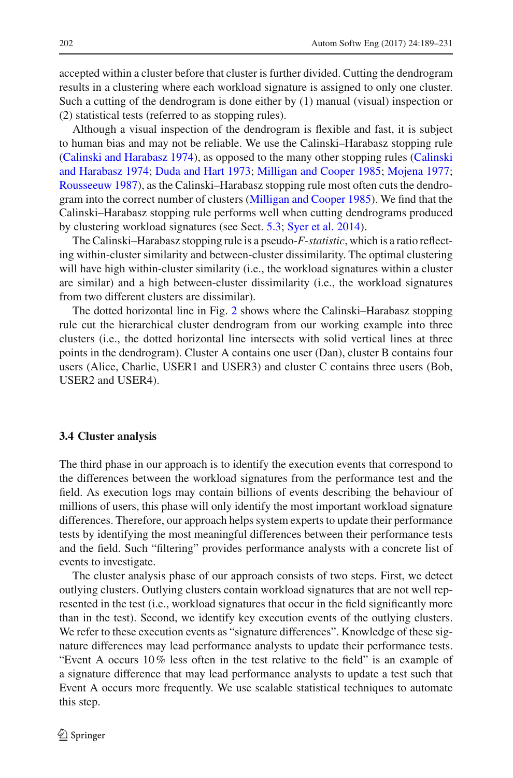accepted within a cluster before that cluster is further divided. Cutting the dendrogram results in a clustering where each workload signature is assigned to only one cluster. Such a cutting of the dendrogram is done either by (1) manual (visual) inspection or (2) statistical tests (referred to as stopping rules).

Although a visual inspection of the dendrogram is flexible and fast, it is subject to human bias and may not be reliable. We use the Calinski–Harabasz stopping rule [\(Calinski and Harabasz 1974\),](#page-39-6) [as](#page-39-6) [opposed](#page-39-6) [to](#page-39-6) [the](#page-39-6) [many](#page-39-6) [other](#page-39-6) [stopping](#page-39-6) [rules](#page-39-6) [\(](#page-39-6)Calinski and Harabasz [1974;](#page-39-6) [Duda and Hart 1973;](#page-40-8) [Milligan and Cooper 1985;](#page-41-9) [Mojena 1977](#page-41-10); [Rousseeuw 1987\)](#page-41-11), as the Calinski–Harabasz stopping rule most often cuts the dendrogram into the correct number of clusters [\(Milligan and Cooper 1985](#page-41-9)). We find that the Calinski–Harabasz stopping rule performs well when cutting dendrograms produced by clustering workload signatures (see Sect. [5.3;](#page-31-0) [Syer et al. 2014\)](#page-41-5).

The Calinski–Harabasz stopping rule is a pseudo-*F-statistic*, which is a ratio reflecting within-cluster similarity and between-cluster dissimilarity. The optimal clustering will have high within-cluster similarity (i.e., the workload signatures within a cluster are similar) and a high between-cluster dissimilarity (i.e., the workload signatures from two different clusters are dissimilar).

The dotted horizontal line in Fig. [2](#page-12-1) shows where the Calinski–Harabasz stopping rule cut the hierarchical cluster dendrogram from our working example into three clusters (i.e., the dotted horizontal line intersects with solid vertical lines at three points in the dendrogram). Cluster A contains one user (Dan), cluster B contains four users (Alice, Charlie, USER1 and USER3) and cluster C contains three users (Bob, USER2 and USER4).

#### **3.4 Cluster analysis**

The third phase in our approach is to identify the execution events that correspond to the differences between the workload signatures from the performance test and the field. As execution logs may contain billions of events describing the behaviour of millions of users, this phase will only identify the most important workload signature differences. Therefore, our approach helps system experts to update their performance tests by identifying the most meaningful differences between their performance tests and the field. Such "filtering" provides performance analysts with a concrete list of events to investigate.

The cluster analysis phase of our approach consists of two steps. First, we detect outlying clusters. Outlying clusters contain workload signatures that are not well represented in the test (i.e., workload signatures that occur in the field significantly more than in the test). Second, we identify key execution events of the outlying clusters. We refer to these execution events as "signature differences". Knowledge of these signature differences may lead performance analysts to update their performance tests. "Event A occurs 10% less often in the test relative to the field" is an example of a signature difference that may lead performance analysts to update a test such that Event A occurs more frequently. We use scalable statistical techniques to automate this step.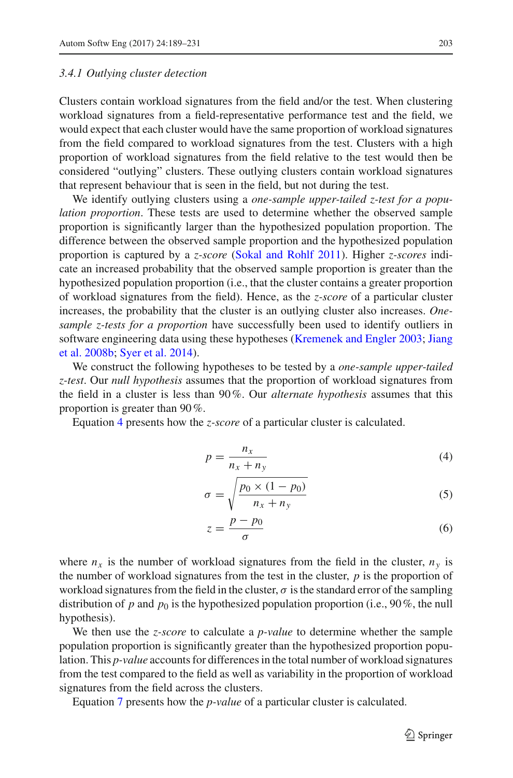#### *3.4.1 Outlying cluster detection*

Clusters contain workload signatures from the field and/or the test. When clustering workload signatures from a field-representative performance test and the field, we would expect that each cluster would have the same proportion of workload signatures from the field compared to workload signatures from the test. Clusters with a high proportion of workload signatures from the field relative to the test would then be considered "outlying" clusters. These outlying clusters contain workload signatures that represent behaviour that is seen in the field, but not during the test.

We identify outlying clusters using a *one-sample upper-tailed z-test for a population proportion*. These tests are used to determine whether the observed sample proportion is significantly larger than the hypothesized population proportion. The difference between the observed sample proportion and the hypothesized population proportion is captured by a *z-score* [\(Sokal and Rohlf 2011](#page-41-12)). Higher *z-scores* indicate an increased probability that the observed sample proportion is greater than the hypothesized population proportion (i.e., that the cluster contains a greater proportion of workload signatures from the field). Hence, as the *z-score* of a particular cluster increases, the probability that the cluster is an outlying cluster also increases. *Onesample z-tests for a proportion* have successfully been used to identify outliers in soft[ware](#page-40-10) [engineering](#page-40-10) [data](#page-40-10) [using](#page-40-10) [these](#page-40-10) [hypotheses](#page-40-10) [\(Kremenek and Engler 2003](#page-40-9)[;](#page-40-10) Jiang et al. [2008b](#page-40-10); [Syer et al. 2014](#page-41-5)).

We construct the following hypotheses to be tested by a *one-sample upper-tailed z-test*. Our *null hypothesis* assumes that the proportion of workload signatures from the field in a cluster is less than 90%. Our *alternate hypothesis* assumes that this proportion is greater than 90%.

Equation [4](#page-14-0) presents how the *z-score* of a particular cluster is calculated.

<span id="page-14-0"></span>
$$
p = \frac{n_x}{n_x + n_y} \tag{4}
$$

$$
\sigma = \sqrt{\frac{p_0 \times (1 - p_0)}{n_x + n_y}}
$$
\n(5)

$$
z = \frac{p - p_0}{\sigma} \tag{6}
$$

where  $n_x$  is the number of workload signatures from the field in the cluster,  $n_y$  is the number of workload signatures from the test in the cluster, *p* is the proportion of workload signatures from the field in the cluster,  $\sigma$  is the standard error of the sampling distribution of *p* and  $p_0$  is the hypothesized population proportion (i.e., 90%, the null hypothesis).

We then use the *z-score* to calculate a *p-value* to determine whether the sample population proportion is significantly greater than the hypothesized proportion population. This *p-value* accounts for differences in the total number of workload signatures from the test compared to the field as well as variability in the proportion of workload signatures from the field across the clusters.

Equation [7](#page-15-0) presents how the *p-value* of a particular cluster is calculated.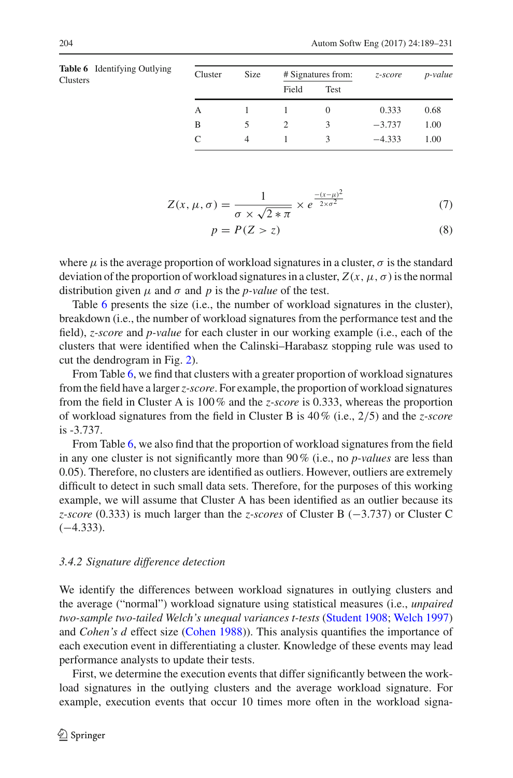<span id="page-15-1"></span>

|          | <b>Table 6</b> Identifying Outlying | Cluster | <b>Size</b> |       | # Signatures from: | z-score  | <i>p</i> -value |
|----------|-------------------------------------|---------|-------------|-------|--------------------|----------|-----------------|
| Clusters |                                     |         |             | Field | Test               |          |                 |
|          |                                     | A       |             |       | $\theta$           | 0.333    | 0.68            |
|          |                                     | B       |             |       | 3                  | $-3.737$ | 1.00            |
|          |                                     | C       | 4           |       |                    | $-4.333$ | 1.00            |

$$
Z(x, \mu, \sigma) = \frac{1}{\sigma \times \sqrt{2 \times \pi}} \times e^{\frac{-(x-\mu)^2}{2 \times \sigma^2}}
$$
(7)

<span id="page-15-0"></span>
$$
p = P(Z > z) \tag{8}
$$

where  $\mu$  is the average proportion of workload signatures in a cluster,  $\sigma$  is the standard deviation of the proportion of workload signatures in a cluster,  $Z(x, \mu, \sigma)$  is the normal distribution given  $\mu$  and  $\sigma$  and  $p$  is the *p-value* of the test.

Table [6](#page-15-1) presents the size (i.e., the number of workload signatures in the cluster), breakdown (i.e., the number of workload signatures from the performance test and the field), *z-score* and *p-value* for each cluster in our working example (i.e., each of the clusters that were identified when the Calinski–Harabasz stopping rule was used to cut the dendrogram in Fig. [2\)](#page-12-1).

From Table [6,](#page-15-1) we find that clusters with a greater proportion of workload signatures from the field have a larger*z-score*. For example, the proportion of workload signatures from the field in Cluster A is 100% and the *z-score* is 0.333, whereas the proportion of workload signatures from the field in Cluster B is 40% (i.e., 2/5) and the *z-score* is -3.737.

From Table [6,](#page-15-1) we also find that the proportion of workload signatures from the field in any one cluster is not significantly more than 90% (i.e., no *p-values* are less than 0.05). Therefore, no clusters are identified as outliers. However, outliers are extremely difficult to detect in such small data sets. Therefore, for the purposes of this working example, we will assume that Cluster A has been identified as an outlier because its *z-score* (0.333) is much larger than the *z-scores* of Cluster B (−3.737) or Cluster C  $(-4.333)$ .

#### <span id="page-15-2"></span>*3.4.2 Signature difference detection*

We identify the differences between workload signatures in outlying clusters and the average ("normal") workload signature using statistical measures (i.e., *unpaired two-sample two-tailed Welch's unequal variances t-tests* [\(Student 1908](#page-41-13); [Welch 1997\)](#page-42-6) and *Cohen's d* effect size [\(Cohen 1988\)](#page-40-11)). This analysis quantifies the importance of each execution event in differentiating a cluster. Knowledge of these events may lead performance analysts to update their tests.

First, we determine the execution events that differ significantly between the workload signatures in the outlying clusters and the average workload signature. For example, execution events that occur 10 times more often in the workload signa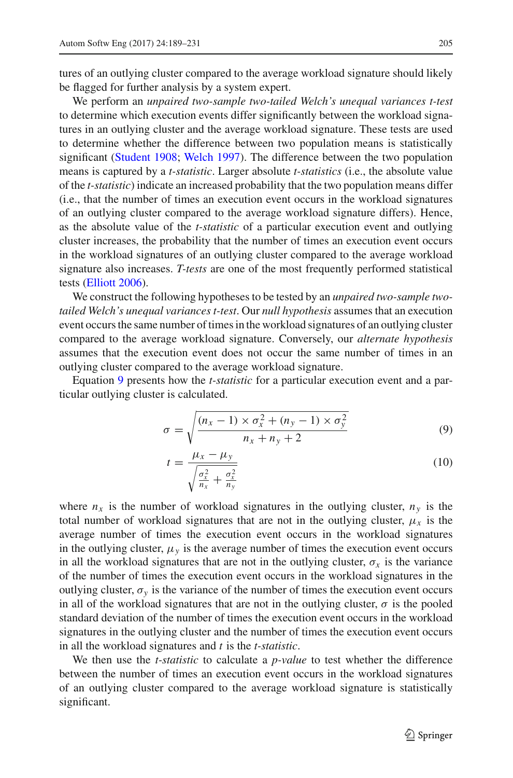tures of an outlying cluster compared to the average workload signature should likely be flagged for further analysis by a system expert.

We perform an *unpaired two-sample two-tailed Welch's unequal variances t-test* to determine which execution events differ significantly between the workload signatures in an outlying cluster and the average workload signature. These tests are used to determine whether the difference between two population means is statistically significant [\(Student 1908;](#page-41-13) [Welch 1997\)](#page-42-6). The difference between the two population means is captured by a *t-statistic*. Larger absolute *t-statistics* (i.e., the absolute value of the *t-statistic*) indicate an increased probability that the two population means differ (i.e., that the number of times an execution event occurs in the workload signatures of an outlying cluster compared to the average workload signature differs). Hence, as the absolute value of the *t-statistic* of a particular execution event and outlying cluster increases, the probability that the number of times an execution event occurs in the workload signatures of an outlying cluster compared to the average workload signature also increases. *T-tests* are one of the most frequently performed statistical tests [\(Elliott 2006\)](#page-40-12).

We construct the following hypotheses to be tested by an *unpaired two-sample twotailed Welch's unequal variances t-test*. Our *null hypothesis* assumes that an execution event occurs the same number of times in the workload signatures of an outlying cluster compared to the average workload signature. Conversely, our *alternate hypothesis* assumes that the execution event does not occur the same number of times in an outlying cluster compared to the average workload signature.

Equation [9](#page-16-0) presents how the *t-statistic* for a particular execution event and a particular outlying cluster is calculated.

<span id="page-16-0"></span>
$$
\sigma = \sqrt{\frac{(n_x - 1) \times \sigma_x^2 + (n_y - 1) \times \sigma_y^2}{n_x + n_y + 2}}
$$
(9)

$$
t = \frac{\mu_x - \mu_y}{\sqrt{\frac{\sigma_x^2}{n_x} + \frac{\sigma_x^2}{n_y}}}
$$
(10)

where  $n_x$  is the number of workload signatures in the outlying cluster,  $n_y$  is the total number of workload signatures that are not in the outlying cluster,  $\mu_x$  is the average number of times the execution event occurs in the workload signatures in the outlying cluster,  $\mu$ <sup>*y*</sup> is the average number of times the execution event occurs in all the workload signatures that are not in the outlying cluster,  $\sigma_x$  is the variance of the number of times the execution event occurs in the workload signatures in the outlying cluster,  $\sigma_v$  is the variance of the number of times the execution event occurs in all of the workload signatures that are not in the outlying cluster,  $\sigma$  is the pooled standard deviation of the number of times the execution event occurs in the workload signatures in the outlying cluster and the number of times the execution event occurs in all the workload signatures and *t* is the *t-statistic*.

We then use the *t-statistic* to calculate a *p-value* to test whether the difference between the number of times an execution event occurs in the workload signatures of an outlying cluster compared to the average workload signature is statistically significant.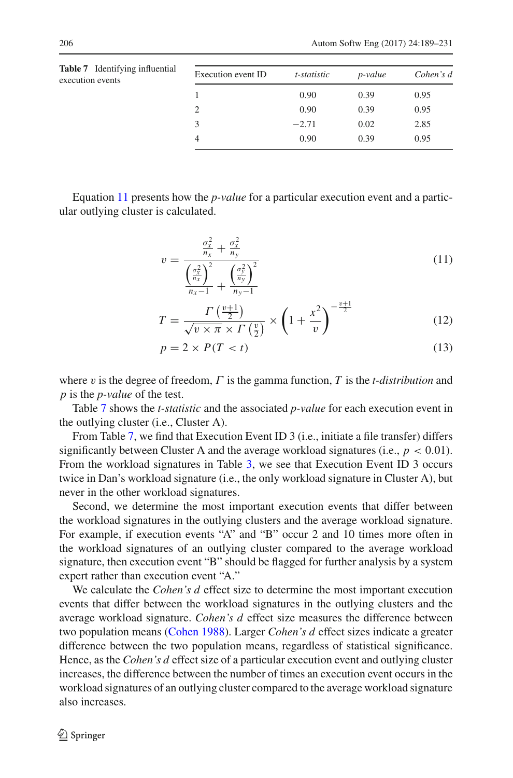<span id="page-17-1"></span>

| <b>Table 7</b> Identifying influential<br>execution events | Execution event ID | t-statistic | <i>p</i> -value | Cohen's d |
|------------------------------------------------------------|--------------------|-------------|-----------------|-----------|
|                                                            |                    | 0.90        | 0.39            | 0.95      |
|                                                            | 2                  | 0.90        | 0.39            | 0.95      |
|                                                            | 3                  | $-2.71$     | 0.02            | 2.85      |
|                                                            | 4                  | 0.90        | 0.39            | 0.95      |
|                                                            |                    |             |                 |           |

Equation [11](#page-17-0) presents how the *p-value* for a particular execution event and a particular outlying cluster is calculated.

<span id="page-17-0"></span>
$$
v = \frac{\frac{\sigma_x^2}{n_x} + \frac{\sigma_x^2}{n_y}}{\frac{\left(\frac{\sigma_x^2}{n_x}\right)^2}{n_x - 1} + \frac{\left(\frac{\sigma_y^2}{n_y}\right)^2}{n_y - 1}}
$$
(11)

$$
T = \frac{\Gamma\left(\frac{v+1}{2}\right)}{\sqrt{v \times \pi} \times \Gamma\left(\frac{v}{2}\right)} \times \left(1 + \frac{x^2}{v}\right)^{-\frac{v+1}{2}}\tag{12}
$$

$$
p = 2 \times P(T < t) \tag{13}
$$

where v is the degree of freedom, Γ is the gamma function, *T* is the *t-distribution* and *p* is the *p-value* of the test.

Table [7](#page-17-1) shows the *t-statistic* and the associated *p-value* for each execution event in the outlying cluster (i.e., Cluster A).

From Table [7,](#page-17-1) we find that Execution Event ID 3 (i.e., initiate a file transfer) differs significantly between Cluster A and the average workload signatures (i.e.,  $p < 0.01$ ). From the workload signatures in Table [3,](#page-9-0) we see that Execution Event ID 3 occurs twice in Dan's workload signature (i.e., the only workload signature in Cluster A), but never in the other workload signatures.

Second, we determine the most important execution events that differ between the workload signatures in the outlying clusters and the average workload signature. For example, if execution events "A" and "B" occur 2 and 10 times more often in the workload signatures of an outlying cluster compared to the average workload signature, then execution event "B" should be flagged for further analysis by a system expert rather than execution event "A."

We calculate the *Cohen's d* effect size to determine the most important execution events that differ between the workload signatures in the outlying clusters and the average workload signature. *Cohen's d* effect size measures the difference between two population means [\(Cohen 1988\)](#page-40-11). Larger *Cohen's d* effect sizes indicate a greater difference between the two population means, regardless of statistical significance. Hence, as the *Cohen's d* effect size of a particular execution event and outlying cluster increases, the difference between the number of times an execution event occurs in the workload signatures of an outlying cluster compared to the average workload signature also increases.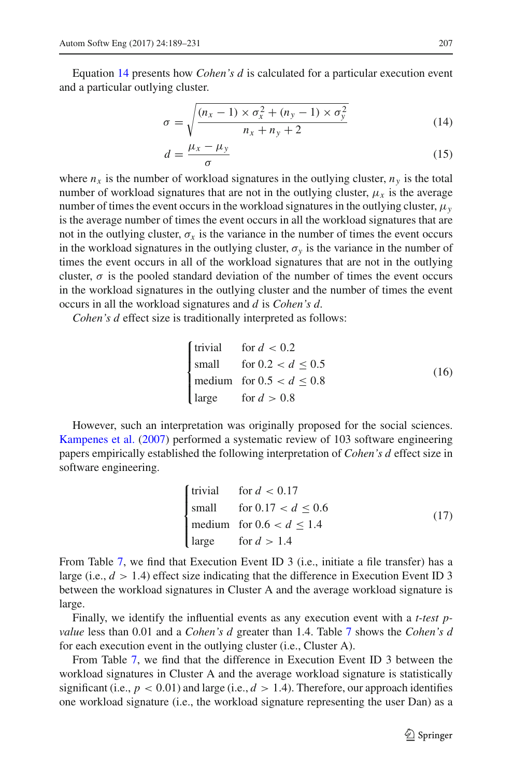Equation [14](#page-18-0) presents how *Cohen's d* is calculated for a particular execution event and a particular outlying cluster.

<span id="page-18-0"></span>
$$
\sigma = \sqrt{\frac{(n_x - 1) \times \sigma_x^2 + (n_y - 1) \times \sigma_y^2}{n_x + n_y + 2}}
$$
(14)

$$
d = \frac{\mu_x - \mu_y}{\sigma} \tag{15}
$$

where  $n_x$  is the number of workload signatures in the outlying cluster,  $n_y$  is the total number of workload signatures that are not in the outlying cluster,  $\mu_x$  is the average number of times the event occurs in the workload signatures in the outlying cluster, μ*y* is the average number of times the event occurs in all the workload signatures that are not in the outlying cluster,  $\sigma_x$  is the variance in the number of times the event occurs in the workload signatures in the outlying cluster,  $\sigma_y$  is the variance in the number of times the event occurs in all of the workload signatures that are not in the outlying cluster,  $\sigma$  is the pooled standard deviation of the number of times the event occurs in the workload signatures in the outlying cluster and the number of times the event occurs in all the workload signatures and *d* is *Cohen's d*.

*Cohen's d* effect size is traditionally interpreted as follows:

$$
\begin{cases}\n\text{trivial} & \text{for } d < 0.2 \\
\text{small} & \text{for } 0.2 < d \le 0.5 \\
\text{medium} & \text{for } 0.5 < d \le 0.8 \\
\text{large} & \text{for } d > 0.8\n\end{cases}\n\tag{16}
$$

However, such an interpretation was originally proposed for the social sciences. [Kampenes et al.](#page-40-13) [\(2007\)](#page-40-13) performed a systematic review of 103 software engineering papers empirically established the following interpretation of *Cohen's d* effect size in software engineering.

$$
\begin{cases}\n\text{trivial} & \text{for } d < 0.17 \\
\text{small} & \text{for } 0.17 < d \le 0.6 \\
\text{medium} & \text{for } 0.6 < d \le 1.4 \\
\text{large} & \text{for } d > 1.4\n\end{cases}\n\tag{17}
$$

From Table [7,](#page-17-1) we find that Execution Event ID 3 (i.e., initiate a file transfer) has a large (i.e.,  $d > 1.4$ ) effect size indicating that the difference in Execution Event ID 3 between the workload signatures in Cluster A and the average workload signature is large.

Finally, we identify the influential events as any execution event with a *t-test pvalue* less than 0.01 and a *Cohen's d* greater than 1.4. Table [7](#page-17-1) shows the *Cohen's d* for each execution event in the outlying cluster (i.e., Cluster A).

From Table [7,](#page-17-1) we find that the difference in Execution Event ID 3 between the workload signatures in Cluster A and the average workload signature is statistically significant (i.e.,  $p < 0.01$ ) and large (i.e.,  $d > 1.4$ ). Therefore, our approach identifies one workload signature (i.e., the workload signature representing the user Dan) as a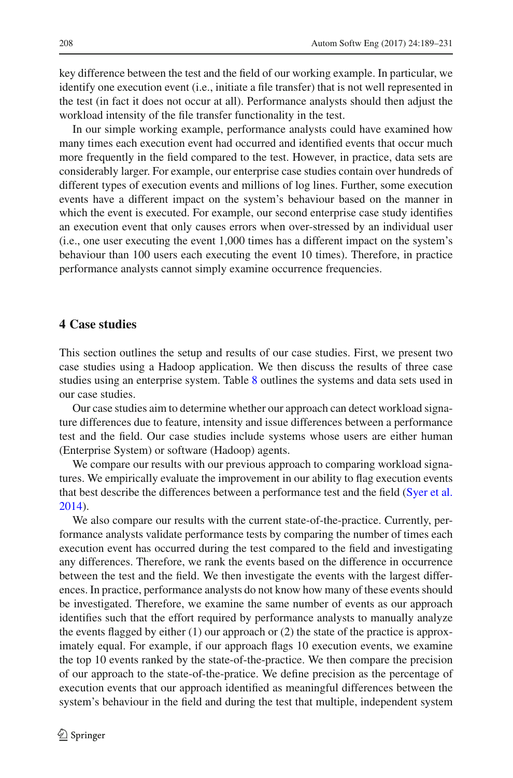key difference between the test and the field of our working example. In particular, we identify one execution event (i.e., initiate a file transfer) that is not well represented in the test (in fact it does not occur at all). Performance analysts should then adjust the workload intensity of the file transfer functionality in the test.

In our simple working example, performance analysts could have examined how many times each execution event had occurred and identified events that occur much more frequently in the field compared to the test. However, in practice, data sets are considerably larger. For example, our enterprise case studies contain over hundreds of different types of execution events and millions of log lines. Further, some execution events have a different impact on the system's behaviour based on the manner in which the event is executed. For example, our second enterprise case study identifies an execution event that only causes errors when over-stressed by an individual user (i.e., one user executing the event 1,000 times has a different impact on the system's behaviour than 100 users each executing the event 10 times). Therefore, in practice performance analysts cannot simply examine occurrence frequencies.

## <span id="page-19-0"></span>**4 Case studies**

This section outlines the setup and results of our case studies. First, we present two case studies using a Hadoop application. We then discuss the results of three case studies using an enterprise system. Table [8](#page-20-0) outlines the systems and data sets used in our case studies.

Our case studies aim to determine whether our approach can detect workload signature differences due to feature, intensity and issue differences between a performance test and the field. Our case studies include systems whose users are either human (Enterprise System) or software (Hadoop) agents.

We compare our results with our previous approach to comparing workload signatures. We empirically evaluate the improvement in our ability to flag execution events that best describe the differences between a performance test and the field [\(Syer et al.](#page-41-5) [2014\)](#page-41-5).

We also compare our results with the current state-of-the-practice. Currently, performance analysts validate performance tests by comparing the number of times each execution event has occurred during the test compared to the field and investigating any differences. Therefore, we rank the events based on the difference in occurrence between the test and the field. We then investigate the events with the largest differences. In practice, performance analysts do not know how many of these events should be investigated. Therefore, we examine the same number of events as our approach identifies such that the effort required by performance analysts to manually analyze the events flagged by either  $(1)$  our approach or  $(2)$  the state of the practice is approximately equal. For example, if our approach flags 10 execution events, we examine the top 10 events ranked by the state-of-the-practice. We then compare the precision of our approach to the state-of-the-pratice. We define precision as the percentage of execution events that our approach identified as meaningful differences between the system's behaviour in the field and during the test that multiple, independent system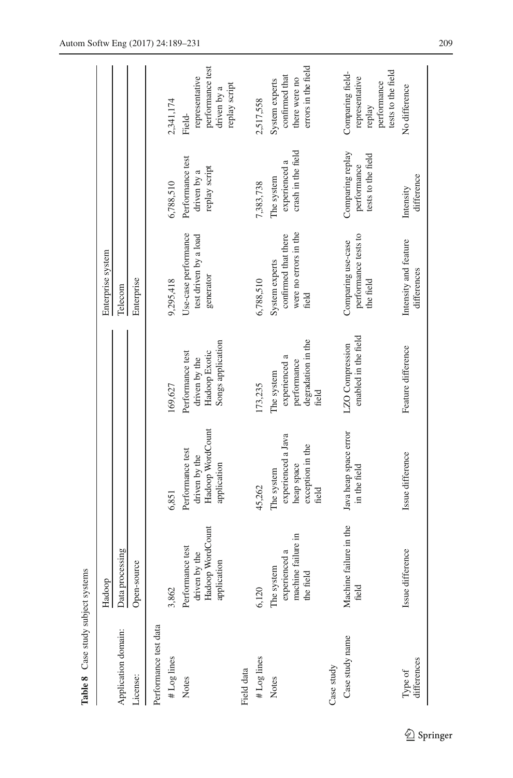<span id="page-20-0"></span>

| Table 8 Case study subject systems |                                                                      |                                                                             |                                                                           |                                                                          |                                                       |                                                                                   |
|------------------------------------|----------------------------------------------------------------------|-----------------------------------------------------------------------------|---------------------------------------------------------------------------|--------------------------------------------------------------------------|-------------------------------------------------------|-----------------------------------------------------------------------------------|
|                                    | Hadoop                                                               |                                                                             |                                                                           | Enterprise system                                                        |                                                       |                                                                                   |
| Application domain:                | Data processing                                                      |                                                                             |                                                                           | Telecom                                                                  |                                                       |                                                                                   |
| License:                           | Open-source                                                          |                                                                             |                                                                           | Enterprise                                                               |                                                       |                                                                                   |
| Performance test data              |                                                                      |                                                                             |                                                                           |                                                                          |                                                       |                                                                                   |
| #Log lines                         | 3,862                                                                | 6,851                                                                       | 169,627                                                                   | 9,295,418                                                                | 6,788,510                                             | 2,341,174                                                                         |
| Notes                              | Hadoop WordCount<br>Performance test<br>driven by the<br>application | Hadoop WordCount<br>Performance test<br>driven by the<br>application        | Songs application<br>Hadoop Exotic<br>Performance test<br>driven by the   | Use-case performance<br>test driven by a load<br>generator               | Performance test<br>replay script<br>driven by a      | performance test<br>representative<br>replay script<br>driven by a<br>Field-      |
| Field data                         |                                                                      |                                                                             |                                                                           |                                                                          |                                                       |                                                                                   |
| # Log lines                        | 6,120                                                                | 45,262                                                                      | 173,235                                                                   | 6,788,510                                                                | 7,383,738                                             | 2,517,558                                                                         |
| Notes                              | machine failure in<br>experienced a<br>The system<br>the field       | experienced a Java<br>exception in the<br>heap space<br>The system<br>field | degradation in the<br>experienced a<br>performance<br>The system<br>field | were no errors in the<br>confirmed that there<br>System experts<br>field | crash in the field<br>experienced a<br>The system     | errors in the field<br>confirmed that<br>there were no<br>System experts          |
| Case study                         |                                                                      |                                                                             |                                                                           |                                                                          |                                                       |                                                                                   |
| Case study name                    | Machine failure in the<br>field                                      | Java heap space error<br>in the field                                       | enabled in the field<br>LZO Compression                                   | performance tests to<br>Comparing use-case<br>the field                  | Comparing replay<br>tests to the field<br>performance | tests to the field<br>Comparing field-<br>representative<br>performance<br>replay |
| differences<br>Type of             | Issue difference                                                     | Issue difference                                                            | Feature difference                                                        | Intensity and feature<br>differences                                     | difference<br>Intensity                               | No difference                                                                     |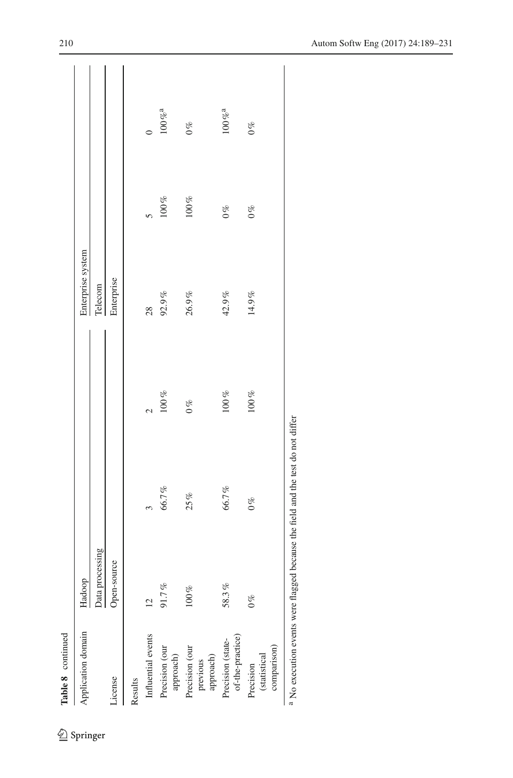| Table 8 continued                                                                                              |                 |                       |                                             |                   |             |                        |
|----------------------------------------------------------------------------------------------------------------|-----------------|-----------------------|---------------------------------------------|-------------------|-------------|------------------------|
| Application domain                                                                                             | Hadoop          |                       |                                             | Enterprise system |             |                        |
|                                                                                                                | Data processing |                       |                                             | Telecom           |             |                        |
| icense                                                                                                         | Open-source     |                       |                                             | Enterprise        |             |                        |
| Results                                                                                                        |                 |                       |                                             |                   |             |                        |
| Influential events                                                                                             | $\overline{12}$ | $\tilde{\mathcal{E}}$ |                                             | 28                | $\tilde{5}$ | $\circ$                |
| Precision (our<br>approach)                                                                                    | 91.7%           | $66.7\%$              | $\begin{array}{c} 2 \\ 100\,\% \end{array}$ | $92.9\,\%$        | $100\,\%$   | $100\,\%^{\rm a}$      |
| Precision (our<br>approach)<br>previous                                                                        | $100\%$         | 25%                   | $0\%$                                       | $26.9\,\%$        | $100\,\%$   | $0\%$                  |
| $of$ -the-practice) $% \left( \left( \delta \right) \delta \left( \delta \right) \right)$<br>Precision (state- | 58.3%           | 66.7%                 | $100\,\%$                                   | $42.9\,\%$        | $0\%$       | $100\,\%^{\mathrm{a}}$ |
| comparison)<br>(statistical<br>Precision                                                                       | $0\%$           | $0\%$                 | $100\,\%$                                   | 14.9%             | $0\%$       | $0\%$                  |
|                                                                                                                |                 |                       | :                                           |                   |             |                        |

 $^{\rm a}$  No execution events were flagged because the field and the test do not differ <sup>a</sup> No execution events were flagged because the field and the test do not differ

 $\underline{\textcircled{\tiny 2}}$  Springer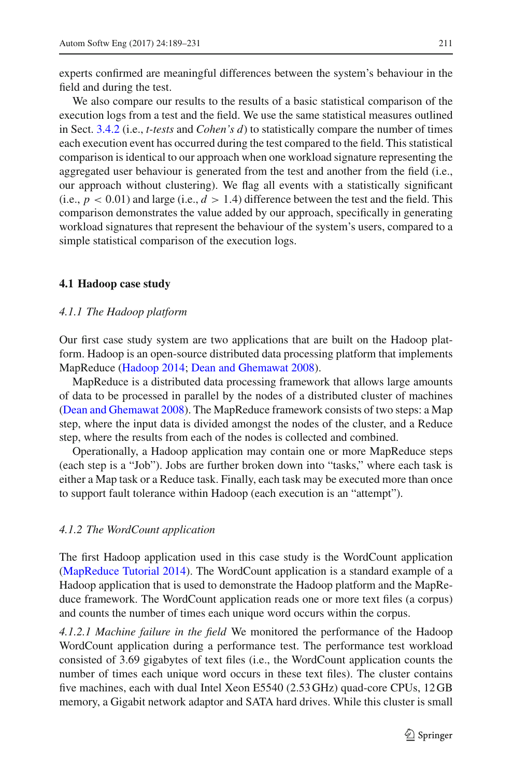We also compare our results to the results of a basic statistical comparison of the execution logs from a test and the field. We use the same statistical measures outlined in Sect. [3.4.2](#page-15-2) (i.e., *t-tests* and *Cohen's d*) to statistically compare the number of times each execution event has occurred during the test compared to the field. This statistical comparison is identical to our approach when one workload signature representing the aggregated user behaviour is generated from the test and another from the field (i.e., our approach without clustering). We flag all events with a statistically significant (i.e.,  $p < 0.01$ ) and large (i.e.,  $d > 1.4$ ) difference between the test and the field. This comparison demonstrates the value added by our approach, specifically in generating workload signatures that represent the behaviour of the system's users, compared to a simple statistical comparison of the execution logs.

#### **4.1 Hadoop case study**

#### *4.1.1 The Hadoop platform*

Our first case study system are two applications that are built on the Hadoop platform. Hadoop is an open-source distributed data processing platform that implements MapReduce [\(Hadoop 2014;](#page-40-14) [Dean and Ghemawat 2008\)](#page-40-15).

MapReduce is a distributed data processing framework that allows large amounts of data to be processed in parallel by the nodes of a distributed cluster of machines [\(Dean and Ghemawat 2008](#page-40-15)). The MapReduce framework consists of two steps: a Map step, where the input data is divided amongst the nodes of the cluster, and a Reduce step, where the results from each of the nodes is collected and combined.

Operationally, a Hadoop application may contain one or more MapReduce steps (each step is a "Job"). Jobs are further broken down into "tasks," where each task is either a Map task or a Reduce task. Finally, each task may be executed more than once to support fault tolerance within Hadoop (each execution is an "attempt").

#### *4.1.2 The WordCount application*

The first Hadoop application used in this case study is the WordCount application [\(MapReduce Tutorial 2014](#page-41-14)). The WordCount application is a standard example of a Hadoop application that is used to demonstrate the Hadoop platform and the MapReduce framework. The WordCount application reads one or more text files (a corpus) and counts the number of times each unique word occurs within the corpus.

*4.1.2.1 Machine failure in the field* We monitored the performance of the Hadoop WordCount application during a performance test. The performance test workload consisted of 3.69 gigabytes of text files (i.e., the WordCount application counts the number of times each unique word occurs in these text files). The cluster contains five machines, each with dual Intel Xeon E5540 (2.53 GHz) quad-core CPUs, 12 GB memory, a Gigabit network adaptor and SATA hard drives. While this cluster is small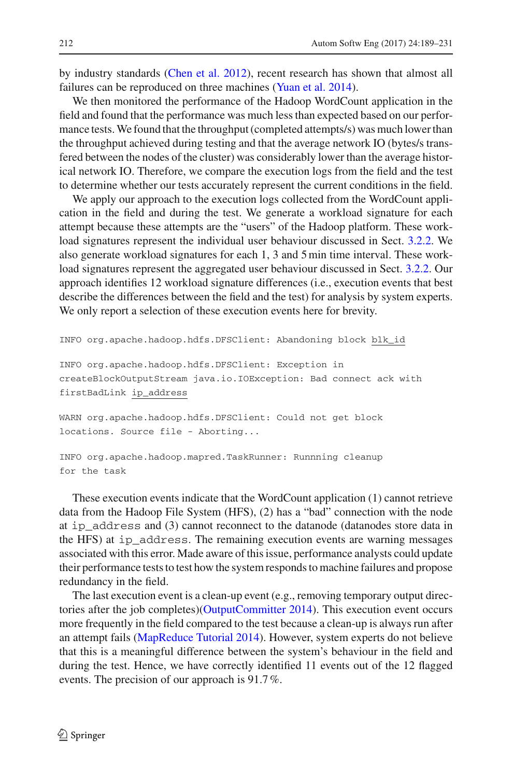by industry standards [\(Chen et al. 2012\)](#page-39-7), recent research has shown that almost all failures can be reproduced on three machines [\(Yuan et al. 2014\)](#page-42-7).

We then monitored the performance of the Hadoop WordCount application in the field and found that the performance was much less than expected based on our performance tests.We found that the throughput (completed attempts/s) was much lower than the throughput achieved during testing and that the average network IO (bytes/s transfered between the nodes of the cluster) was considerably lower than the average historical network IO. Therefore, we compare the execution logs from the field and the test to determine whether our tests accurately represent the current conditions in the field.

We apply our approach to the execution logs collected from the WordCount application in the field and during the test. We generate a workload signature for each attempt because these attempts are the "users" of the Hadoop platform. These workload signatures represent the individual user behaviour discussed in Sect. [3.2.2.](#page-8-0) We also generate workload signatures for each 1, 3 and 5 min time interval. These workload signatures represent the aggregated user behaviour discussed in Sect. [3.2.2.](#page-8-0) Our approach identifies 12 workload signature differences (i.e., execution events that best describe the differences between the field and the test) for analysis by system experts. We only report a selection of these execution events here for brevity.

```
INFO org.apache.hadoop.hdfs.DFSClient: Abandoning block blk_id
INFO org.apache.hadoop.hdfs.DFSClient: Exception in
createBlockOutputStream java.io.IOException: Bad connect ack with
firstBadLink ip_address
WARN org.apache.hadoop.hdfs.DFSClient: Could not get block
locations. Source file - Aborting...
```

```
INFO org.apache.hadoop.mapred.TaskRunner: Runnning cleanup
for the task
```
These execution events indicate that the WordCount application (1) cannot retrieve data from the Hadoop File System (HFS), (2) has a "bad" connection with the node at ip\_address and (3) cannot reconnect to the datanode (datanodes store data in the HFS) at ip\_address. The remaining execution events are warning messages associated with this error. Made aware of this issue, performance analysts could update their performance tests to test how the system responds to machine failures and propose redundancy in the field.

The last execution event is a clean-up event (e.g., removing temporary output directories after the job completes)[\(OutputCommitter 2014\)](#page-41-15). This execution event occurs more frequently in the field compared to the test because a clean-up is always run after an attempt fails [\(MapReduce Tutorial 2014](#page-41-14)). However, system experts do not believe that this is a meaningful difference between the system's behaviour in the field and during the test. Hence, we have correctly identified 11 events out of the 12 flagged events. The precision of our approach is 91.7%.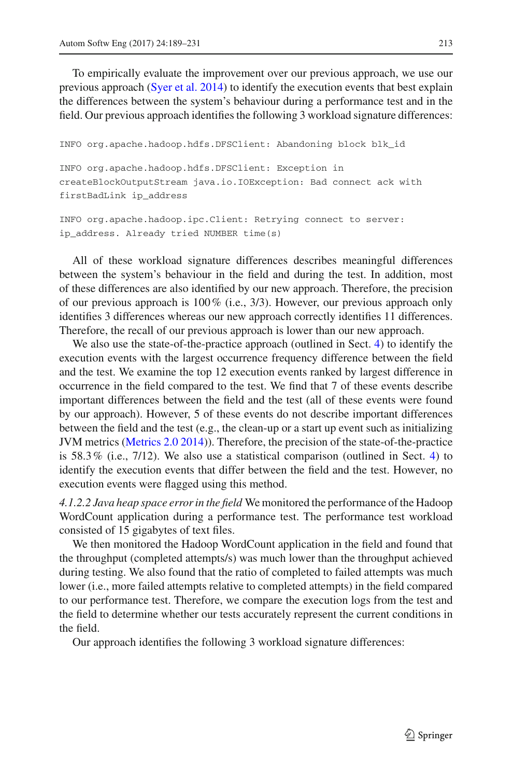To empirically evaluate the improvement over our previous approach, we use our previous approach [\(Syer et al. 2014](#page-41-5)) to identify the execution events that best explain the differences between the system's behaviour during a performance test and in the field. Our previous approach identifies the following 3 workload signature differences:

```
INFO org.apache.hadoop.hdfs.DFSClient: Abandoning block blk_id
INFO org.apache.hadoop.hdfs.DFSClient: Exception in
createBlockOutputStream java.io.IOException: Bad connect ack with
firstBadLink ip_address
INFO org.apache.hadoop.ipc.Client: Retrying connect to server:
ip_address. Already tried NUMBER time(s)
```
All of these workload signature differences describes meaningful differences between the system's behaviour in the field and during the test. In addition, most of these differences are also identified by our new approach. Therefore, the precision of our previous approach is  $100\%$  (i.e.,  $3/3$ ). However, our previous approach only identifies 3 differences whereas our new approach correctly identifies 11 differences. Therefore, the recall of our previous approach is lower than our new approach.

We also use the state-of-the-practice approach (outlined in Sect. [4\)](#page-19-0) to identify the execution events with the largest occurrence frequency difference between the field and the test. We examine the top 12 execution events ranked by largest difference in occurrence in the field compared to the test. We find that 7 of these events describe important differences between the field and the test (all of these events were found by our approach). However, 5 of these events do not describe important differences between the field and the test (e.g., the clean-up or a start up event such as initializing JVM metrics [\(Metrics 2.0 2014\)](#page-41-16)). Therefore, the precision of the state-of-the-practice is  $58.3\%$  (i.e.,  $7/12$ ). We also use a statistical comparison (outlined in Sect. [4\)](#page-19-0) to identify the execution events that differ between the field and the test. However, no execution events were flagged using this method.

*4.1.2.2 Java heap space error in the field* We monitored the performance of the Hadoop WordCount application during a performance test. The performance test workload consisted of 15 gigabytes of text files.

We then monitored the Hadoop WordCount application in the field and found that the throughput (completed attempts/s) was much lower than the throughput achieved during testing. We also found that the ratio of completed to failed attempts was much lower (i.e., more failed attempts relative to completed attempts) in the field compared to our performance test. Therefore, we compare the execution logs from the test and the field to determine whether our tests accurately represent the current conditions in the field.

Our approach identifies the following 3 workload signature differences: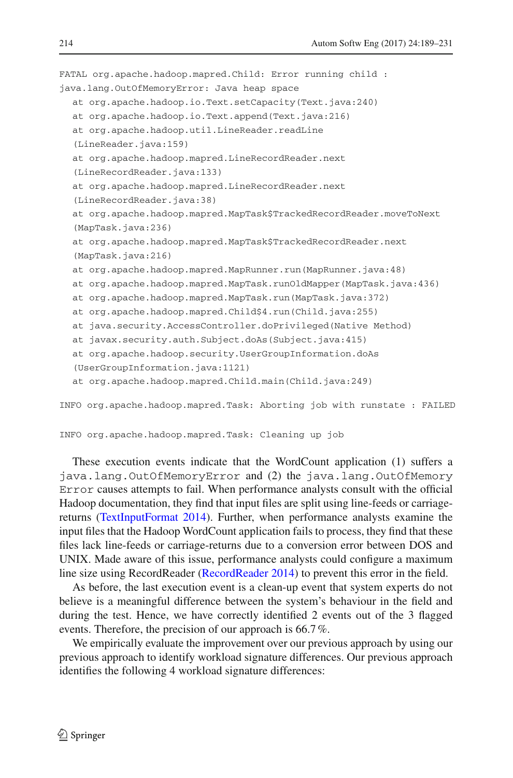```
FATAL org.apache.hadoop.mapred.Child: Error running child :
java.lang.OutOfMemoryError: Java heap space
  at org.apache.hadoop.io.Text.setCapacity(Text.java:240)
  at org.apache.hadoop.io.Text.append(Text.java:216)
  at org.apache.hadoop.util.LineReader.readLine
  (LineReader.java:159)
  at org.apache.hadoop.mapred.LineRecordReader.next
  (LineRecordReader.java:133)
  at org.apache.hadoop.mapred.LineRecordReader.next
  (LineRecordReader.java:38)
  at org.apache.hadoop.mapred.MapTask$TrackedRecordReader.moveToNext
  (MapTask.java:236)
  at org.apache.hadoop.mapred.MapTask$TrackedRecordReader.next
  (MapTask.java:216)
  at org.apache.hadoop.mapred.MapRunner.run(MapRunner.java:48)
  at org.apache.hadoop.mapred.MapTask.runOldMapper(MapTask.java:436)
  at org.apache.hadoop.mapred.MapTask.run(MapTask.java:372)
  at org.apache.hadoop.mapred.Child$4.run(Child.java:255)
  at java.security.AccessController.doPrivileged(Native Method)
  at javax.security.auth.Subject.doAs(Subject.java:415)
  at org.apache.hadoop.security.UserGroupInformation.doAs
  (UserGroupInformation.java:1121)
  at org.apache.hadoop.mapred.Child.main(Child.java:249)
INFO org.apache.hadoop.mapred.Task: Aborting job with runstate : FAILED
```

```
INFO org.apache.hadoop.mapred.Task: Cleaning up job
```
These execution events indicate that the WordCount application (1) suffers a java.lang.OutOfMemoryError and (2) the java.lang.OutOfMemory Error causes attempts to fail. When performance analysts consult with the official Hadoop documentation, they find that input files are split using line-feeds or carriagereturns [\(TextInputFormat 2014\)](#page-42-8). Further, when performance analysts examine the input files that the Hadoop WordCount application fails to process, they find that these files lack line-feeds or carriage-returns due to a conversion error between DOS and UNIX. Made aware of this issue, performance analysts could configure a maximum line size using RecordReader [\(RecordReader 2014](#page-41-17)) to prevent this error in the field.

As before, the last execution event is a clean-up event that system experts do not believe is a meaningful difference between the system's behaviour in the field and during the test. Hence, we have correctly identified 2 events out of the 3 flagged events. Therefore, the precision of our approach is 66.7%.

We empirically evaluate the improvement over our previous approach by using our previous approach to identify workload signature differences. Our previous approach identifies the following 4 workload signature differences: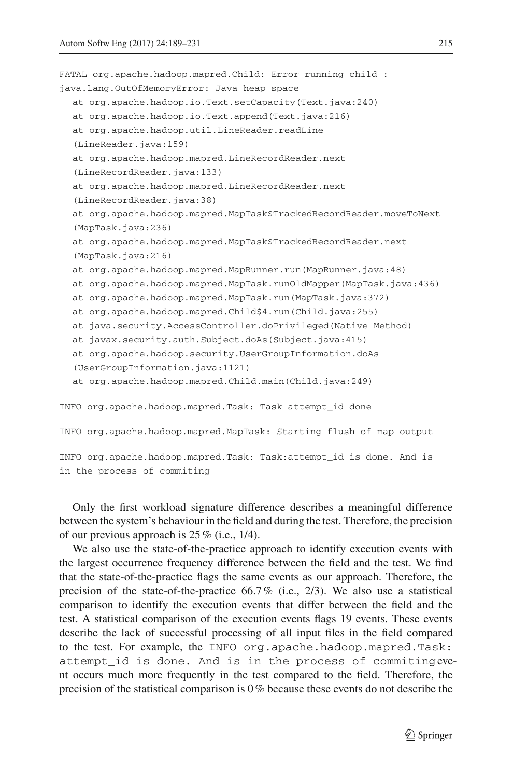```
FATAL org.apache.hadoop.mapred.Child: Error running child :
java.lang.OutOfMemoryError: Java heap space
  at org.apache.hadoop.io.Text.setCapacity(Text.java:240)
  at org.apache.hadoop.io.Text.append(Text.java:216)
  at org.apache.hadoop.util.LineReader.readLine
  (LineReader.java:159)
  at org.apache.hadoop.mapred.LineRecordReader.next
  (LineRecordReader.java:133)
  at org.apache.hadoop.mapred.LineRecordReader.next
  (LineRecordReader.java:38)
  at org.apache.hadoop.mapred.MapTask$TrackedRecordReader.moveToNext
  (MapTask.java:236)
  at org.apache.hadoop.mapred.MapTask$TrackedRecordReader.next
  (MapTask.java:216)
  at org.apache.hadoop.mapred.MapRunner.run(MapRunner.java:48)
  at org.apache.hadoop.mapred.MapTask.runOldMapper(MapTask.java:436)
  at org.apache.hadoop.mapred.MapTask.run(MapTask.java:372)
  at org.apache.hadoop.mapred.Child$4.run(Child.java:255)
  at java.security.AccessController.doPrivileged(Native Method)
  at javax.security.auth.Subject.doAs(Subject.java:415)
  at org.apache.hadoop.security.UserGroupInformation.doAs
  (UserGroupInformation.java:1121)
  at org.apache.hadoop.mapred.Child.main(Child.java:249)
INFO org.apache.hadoop.mapred.Task: Task attempt_id done
INFO org.apache.hadoop.mapred.MapTask: Starting flush of map output
INFO org.apache.hadoop.mapred.Task: Task:attempt_id is done. And is
in the process of commiting
```
Only the first workload signature difference describes a meaningful difference between the system's behaviour in the field and during the test. Therefore, the precision of our previous approach is  $25\%$  (i.e., 1/4).

We also use the state-of-the-practice approach to identify execution events with the largest occurrence frequency difference between the field and the test. We find that the state-of-the-practice flags the same events as our approach. Therefore, the precision of the state-of-the-practice  $66.7\%$  (i.e., 2/3). We also use a statistical comparison to identify the execution events that differ between the field and the test. A statistical comparison of the execution events flags 19 events. These events describe the lack of successful processing of all input files in the field compared to the test. For example, the INFO org.apache.hadoop.mapred.Task: attempt id is done. And is in the process of commitingevent occurs much more frequently in the test compared to the field. Therefore, the precision of the statistical comparison is 0% because these events do not describe the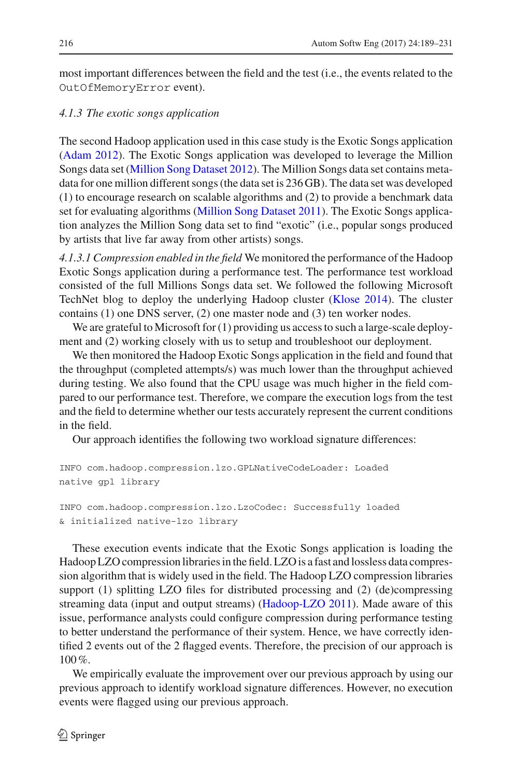most important differences between the field and the test (i.e., the events related to the OutOfMemoryError event).

## *4.1.3 The exotic songs application*

The second Hadoop application used in this case study is the Exotic Songs application [\(Adam 2012](#page-39-8)). The Exotic Songs application was developed to leverage the Million Songs data set [\(Million Song Dataset 2012\)](#page-41-18). The Million Songs data set contains metadata for one million different songs (the data set is 236 GB). The data set was developed (1) to encourage research on scalable algorithms and (2) to provide a benchmark data set for evaluating algorithms [\(Million Song Dataset 2011\)](#page-41-19). The Exotic Songs application analyzes the Million Song data set to find "exotic" (i.e., popular songs produced by artists that live far away from other artists) songs.

*4.1.3.1 Compression enabled in the field* We monitored the performance of the Hadoop Exotic Songs application during a performance test. The performance test workload consisted of the full Millions Songs data set. We followed the following Microsoft TechNet blog to deploy the underlying Hadoop cluster [\(Klose 2014](#page-40-16)). The cluster contains (1) one DNS server, (2) one master node and (3) ten worker nodes.

We are grateful to Microsoft for (1) providing us access to such a large-scale deployment and (2) working closely with us to setup and troubleshoot our deployment.

We then monitored the Hadoop Exotic Songs application in the field and found that the throughput (completed attempts/s) was much lower than the throughput achieved during testing. We also found that the CPU usage was much higher in the field compared to our performance test. Therefore, we compare the execution logs from the test and the field to determine whether our tests accurately represent the current conditions in the field.

Our approach identifies the following two workload signature differences:

```
INFO com.hadoop.compression.lzo.GPLNativeCodeLoader: Loaded
native gpl library
INFO com.hadoop.compression.lzo.LzoCodec: Successfully loaded
```
& initialized native-lzo library

These execution events indicate that the Exotic Songs application is loading the Hadoop LZO compression libraries in the field. LZO is a fast and lossless data compression algorithm that is widely used in the field. The Hadoop LZO compression libraries support (1) splitting LZO files for distributed processing and (2) (de)compressing streaming data (input and output streams) [\(Hadoop-LZO 2011\)](#page-40-17). Made aware of this issue, performance analysts could configure compression during performance testing to better understand the performance of their system. Hence, we have correctly identified 2 events out of the 2 flagged events. Therefore, the precision of our approach is 100%.

We empirically evaluate the improvement over our previous approach by using our previous approach to identify workload signature differences. However, no execution events were flagged using our previous approach.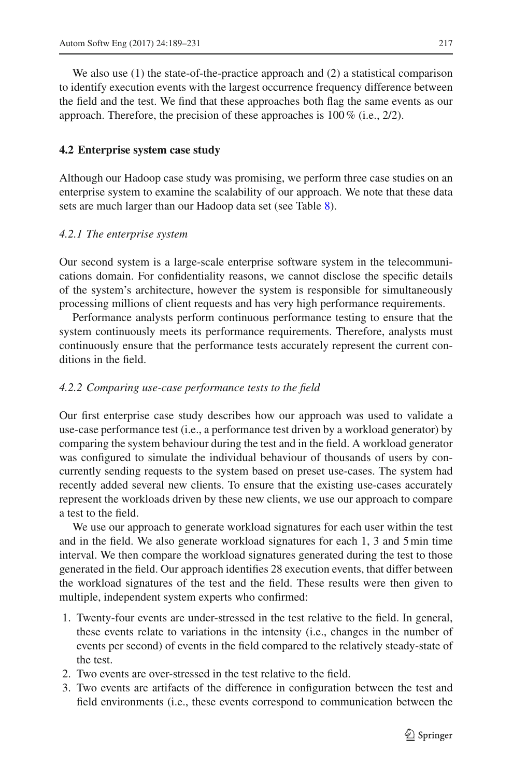We also use (1) the state-of-the-practice approach and (2) a statistical comparison to identify execution events with the largest occurrence frequency difference between the field and the test. We find that these approaches both flag the same events as our approach. Therefore, the precision of these approaches is  $100\%$  (i.e.,  $2/2$ ).

## **4.2 Enterprise system case study**

Although our Hadoop case study was promising, we perform three case studies on an enterprise system to examine the scalability of our approach. We note that these data sets are much larger than our Hadoop data set (see Table [8\)](#page-20-0).

## *4.2.1 The enterprise system*

Our second system is a large-scale enterprise software system in the telecommunications domain. For confidentiality reasons, we cannot disclose the specific details of the system's architecture, however the system is responsible for simultaneously processing millions of client requests and has very high performance requirements.

Performance analysts perform continuous performance testing to ensure that the system continuously meets its performance requirements. Therefore, analysts must continuously ensure that the performance tests accurately represent the current conditions in the field.

## *4.2.2 Comparing use-case performance tests to the field*

Our first enterprise case study describes how our approach was used to validate a use-case performance test (i.e., a performance test driven by a workload generator) by comparing the system behaviour during the test and in the field. A workload generator was configured to simulate the individual behaviour of thousands of users by concurrently sending requests to the system based on preset use-cases. The system had recently added several new clients. To ensure that the existing use-cases accurately represent the workloads driven by these new clients, we use our approach to compare a test to the field.

We use our approach to generate workload signatures for each user within the test and in the field. We also generate workload signatures for each 1, 3 and 5 min time interval. We then compare the workload signatures generated during the test to those generated in the field. Our approach identifies 28 execution events, that differ between the workload signatures of the test and the field. These results were then given to multiple, independent system experts who confirmed:

- 1. Twenty-four events are under-stressed in the test relative to the field. In general, these events relate to variations in the intensity (i.e., changes in the number of events per second) of events in the field compared to the relatively steady-state of the test.
- 2. Two events are over-stressed in the test relative to the field.
- 3. Two events are artifacts of the difference in configuration between the test and field environments (i.e., these events correspond to communication between the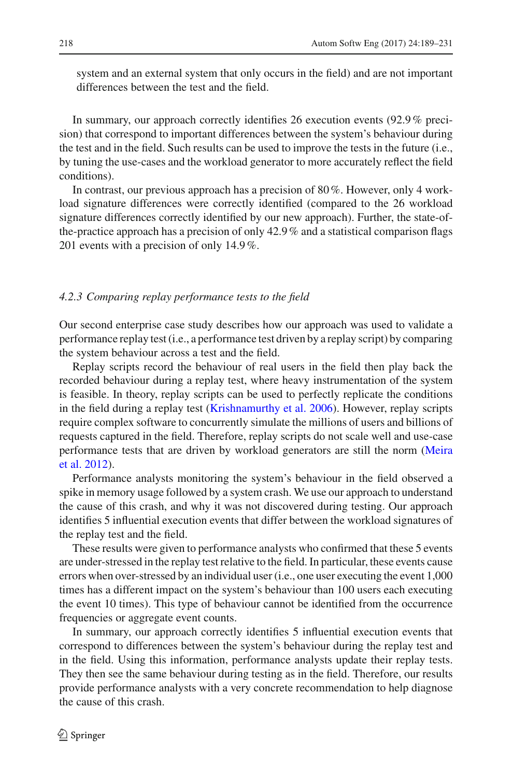system and an external system that only occurs in the field) and are not important differences between the test and the field.

In summary, our approach correctly identifies 26 execution events (92.9% precision) that correspond to important differences between the system's behaviour during the test and in the field. Such results can be used to improve the tests in the future (i.e., by tuning the use-cases and the workload generator to more accurately reflect the field conditions).

In contrast, our previous approach has a precision of 80%. However, only 4 workload signature differences were correctly identified (compared to the 26 workload signature differences correctly identified by our new approach). Further, the state-ofthe-practice approach has a precision of only  $42.9\%$  and a statistical comparison flags 201 events with a precision of only 14.9%.

#### *4.2.3 Comparing replay performance tests to the field*

Our second enterprise case study describes how our approach was used to validate a performance replay test (i.e., a performance test driven by a replay script) by comparing the system behaviour across a test and the field.

Replay scripts record the behaviour of real users in the field then play back the recorded behaviour during a replay test, where heavy instrumentation of the system is feasible. In theory, replay scripts can be used to perfectly replicate the conditions in the field during a replay test [\(Krishnamurthy et al. 2006](#page-40-18)). However, replay scripts require complex software to concurrently simulate the millions of users and billions of requests captured in the field. Therefore, replay scripts do not scale well and use-case perf[ormance](#page-41-20) [tests](#page-41-20) [that](#page-41-20) [are](#page-41-20) [driven](#page-41-20) [by](#page-41-20) [workload](#page-41-20) [generators](#page-41-20) [are](#page-41-20) [still](#page-41-20) [the](#page-41-20) [norm](#page-41-20) [\(](#page-41-20)Meira et al. [2012\)](#page-41-20).

Performance analysts monitoring the system's behaviour in the field observed a spike in memory usage followed by a system crash. We use our approach to understand the cause of this crash, and why it was not discovered during testing. Our approach identifies 5 influential execution events that differ between the workload signatures of the replay test and the field.

These results were given to performance analysts who confirmed that these 5 events are under-stressed in the replay test relative to the field. In particular, these events cause errors when over-stressed by an individual user (i.e., one user executing the event 1,000 times has a different impact on the system's behaviour than 100 users each executing the event 10 times). This type of behaviour cannot be identified from the occurrence frequencies or aggregate event counts.

In summary, our approach correctly identifies 5 influential execution events that correspond to differences between the system's behaviour during the replay test and in the field. Using this information, performance analysts update their replay tests. They then see the same behaviour during testing as in the field. Therefore, our results provide performance analysts with a very concrete recommendation to help diagnose the cause of this crash.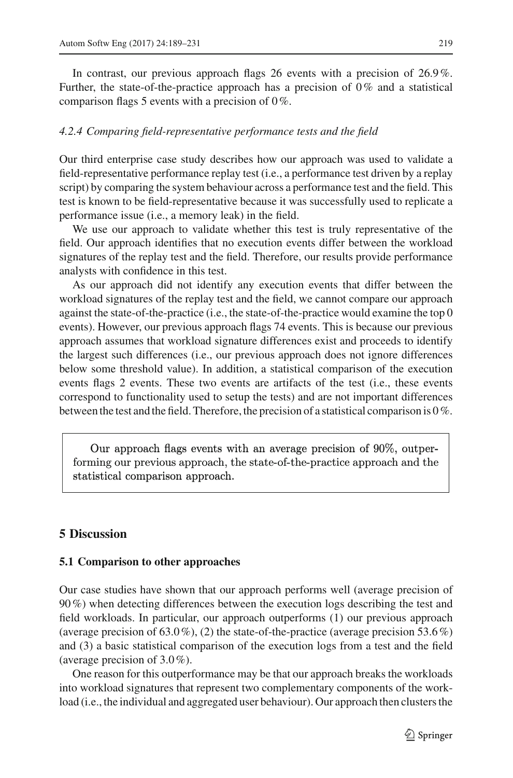In contrast, our previous approach flags 26 events with a precision of 26.9%. Further, the state-of-the-practice approach has a precision of 0% and a statistical comparison flags 5 events with a precision of 0%.

#### *4.2.4 Comparing field-representative performance tests and the field*

Our third enterprise case study describes how our approach was used to validate a field-representative performance replay test (i.e., a performance test driven by a replay script) by comparing the system behaviour across a performance test and the field. This test is known to be field-representative because it was successfully used to replicate a performance issue (i.e., a memory leak) in the field.

We use our approach to validate whether this test is truly representative of the field. Our approach identifies that no execution events differ between the workload signatures of the replay test and the field. Therefore, our results provide performance analysts with confidence in this test.

As our approach did not identify any execution events that differ between the workload signatures of the replay test and the field, we cannot compare our approach against the state-of-the-practice (i.e., the state-of-the-practice would examine the top 0 events). However, our previous approach flags 74 events. This is because our previous approach assumes that workload signature differences exist and proceeds to identify the largest such differences (i.e., our previous approach does not ignore differences below some threshold value). In addition, a statistical comparison of the execution events flags 2 events. These two events are artifacts of the test (i.e., these events correspond to functionality used to setup the tests) and are not important differences between the test and the field. Therefore, the precision of a statistical comparison is 0%.

Our approach flags events with an average precision of  $90\%$ , outperforming our previous approach, the state-of-the-practice approach and the statistical comparison approach.

### <span id="page-30-0"></span>**5 Discussion**

#### **5.1 Comparison to other approaches**

Our case studies have shown that our approach performs well (average precision of 90%) when detecting differences between the execution logs describing the test and field workloads. In particular, our approach outperforms (1) our previous approach (average precision of  $(63.0\%)$ , (2) the state-of-the-practice (average precision  $(53.6\%)$ and (3) a basic statistical comparison of the execution logs from a test and the field (average precision of 3.0%).

One reason for this outperformance may be that our approach breaks the workloads into workload signatures that represent two complementary components of the workload (i.e., the individual and aggregated user behaviour). Our approach then clusters the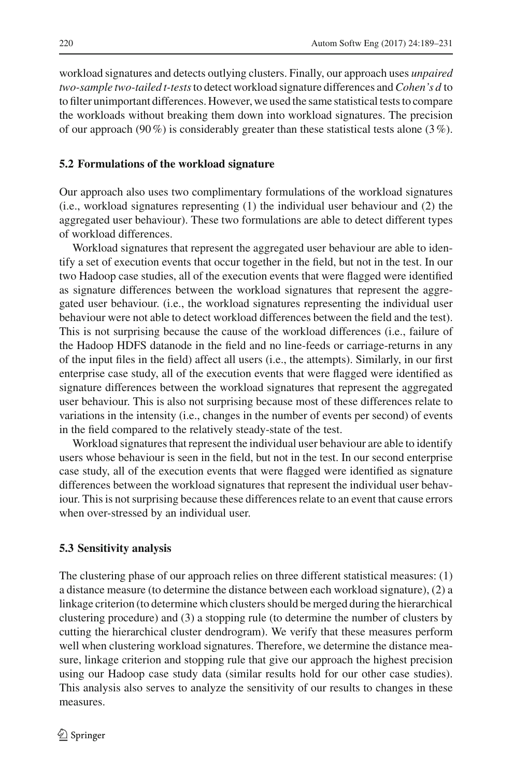workload signatures and detects outlying clusters. Finally, our approach uses *unpaired two-sample two-tailed t-tests*to detect workload signature differences and*Cohen's d* to to filter unimportant differences. However, we used the same statistical tests to compare the workloads without breaking them down into workload signatures. The precision of our approach (90%) is considerably greater than these statistical tests alone (3%).

#### **5.2 Formulations of the workload signature**

Our approach also uses two complimentary formulations of the workload signatures (i.e., workload signatures representing (1) the individual user behaviour and (2) the aggregated user behaviour). These two formulations are able to detect different types of workload differences.

Workload signatures that represent the aggregated user behaviour are able to identify a set of execution events that occur together in the field, but not in the test. In our two Hadoop case studies, all of the execution events that were flagged were identified as signature differences between the workload signatures that represent the aggregated user behaviour. (i.e., the workload signatures representing the individual user behaviour were not able to detect workload differences between the field and the test). This is not surprising because the cause of the workload differences (i.e., failure of the Hadoop HDFS datanode in the field and no line-feeds or carriage-returns in any of the input files in the field) affect all users (i.e., the attempts). Similarly, in our first enterprise case study, all of the execution events that were flagged were identified as signature differences between the workload signatures that represent the aggregated user behaviour. This is also not surprising because most of these differences relate to variations in the intensity (i.e., changes in the number of events per second) of events in the field compared to the relatively steady-state of the test.

Workload signatures that represent the individual user behaviour are able to identify users whose behaviour is seen in the field, but not in the test. In our second enterprise case study, all of the execution events that were flagged were identified as signature differences between the workload signatures that represent the individual user behaviour. This is not surprising because these differences relate to an event that cause errors when over-stressed by an individual user.

#### <span id="page-31-0"></span>**5.3 Sensitivity analysis**

The clustering phase of our approach relies on three different statistical measures: (1) a distance measure (to determine the distance between each workload signature), (2) a linkage criterion (to determine which clusters should be merged during the hierarchical clustering procedure) and (3) a stopping rule (to determine the number of clusters by cutting the hierarchical cluster dendrogram). We verify that these measures perform well when clustering workload signatures. Therefore, we determine the distance measure, linkage criterion and stopping rule that give our approach the highest precision using our Hadoop case study data (similar results hold for our other case studies). This analysis also serves to analyze the sensitivity of our results to changes in these measures.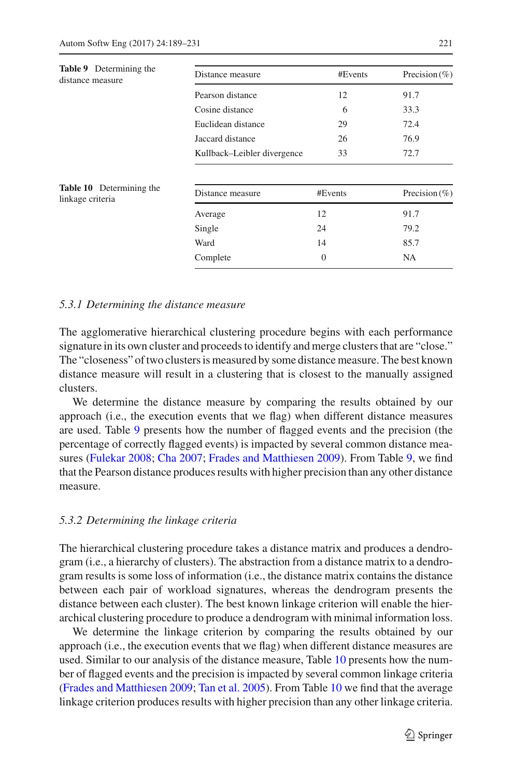<span id="page-32-0"></span>

| <b>Table 9</b> Determining the<br>distance measure  | Distance measure            | #Events      | Precision $(\% )$ |
|-----------------------------------------------------|-----------------------------|--------------|-------------------|
|                                                     | Pearson distance            | 12           | 91.7              |
|                                                     | Cosine distance             | 6            | 33.3              |
|                                                     | Euclidean distance          | 29           | 72.4              |
|                                                     | Jaccard distance            | 26           | 76.9              |
|                                                     | Kullback-Leibler divergence | 33           | 72.7              |
| <b>Table 10</b> Determining the<br>linkage criteria | Distance measure            | #Events      | Precision $(\% )$ |
|                                                     | Average                     | 12           | 91.7              |
|                                                     | Single                      | 24           | 79.2              |
|                                                     | Ward                        | 14           | 85.7              |
|                                                     | Complete                    | $\mathbf{0}$ | <b>NA</b>         |
|                                                     |                             |              |                   |

#### <span id="page-32-1"></span>*5.3.1 Determining the distance measure*

The agglomerative hierarchical clustering procedure begins with each performance signature in its own cluster and proceeds to identify and merge clusters that are "close." The "closeness" of two clusters is measured by some distance measure. The best known distance measure will result in a clustering that is closest to the manually assigned clusters.

We determine the distance measure by comparing the results obtained by our approach (i.e., the execution events that we flag) when different distance measures are used. Table [9](#page-32-0) presents how the number of flagged events and the precision (the percentage of correctly flagged events) is impacted by several common distance measures [\(Fulekar 2008;](#page-40-5) [Cha 2007;](#page-39-5) [Frades and Matthiesen 2009\)](#page-40-6). From Table [9,](#page-32-0) we find that the Pearson distance produces results with higher precision than any other distance measure.

#### *5.3.2 Determining the linkage criteria*

The hierarchical clustering procedure takes a distance matrix and produces a dendrogram (i.e., a hierarchy of clusters). The abstraction from a distance matrix to a dendrogram results is some loss of information (i.e., the distance matrix contains the distance between each pair of workload signatures, whereas the dendrogram presents the distance between each cluster). The best known linkage criterion will enable the hierarchical clustering procedure to produce a dendrogram with minimal information loss.

We determine the linkage criterion by comparing the results obtained by our approach (i.e., the execution events that we flag) when different distance measures are used. Similar to our analysis of the distance measure, Table [10](#page-32-1) presents how the number of flagged events and the precision is impacted by several common linkage criteria [\(Frades and Matthiesen 2009](#page-40-6); [Tan et al. 2005\)](#page-42-5). From Table [10](#page-32-1) we find that the average linkage criterion produces results with higher precision than any other linkage criteria.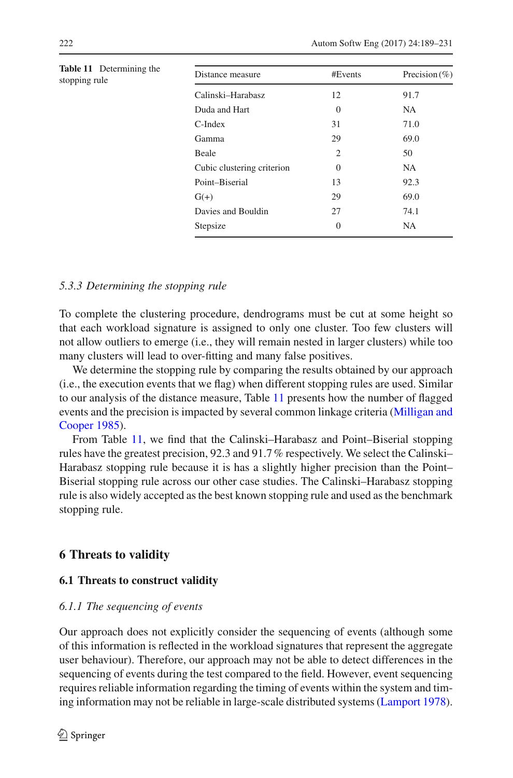<span id="page-33-1"></span>

| <b>Table 11</b> Determining the<br>stopping rule | Distance measure           | #Events        | Precision $(\% )$ |
|--------------------------------------------------|----------------------------|----------------|-------------------|
|                                                  | Calinski-Harabasz          | 12             | 91.7              |
|                                                  | Duda and Hart              | $\Omega$       | NA.               |
|                                                  | $C$ -Index                 | 31             | 71.0              |
|                                                  | Gamma                      | 29             | 69.0              |
|                                                  | Beale                      | $\overline{2}$ | 50                |
|                                                  | Cubic clustering criterion | $\overline{0}$ | <b>NA</b>         |
|                                                  | Point-Biserial             | 13             | 92.3              |
|                                                  | $G(+)$                     | 29             | 69.0              |
|                                                  | Davies and Bouldin         | 27             | 74.1              |
|                                                  | Stepsize                   | $\overline{0}$ | <b>NA</b>         |

#### *5.3.3 Determining the stopping rule*

To complete the clustering procedure, dendrograms must be cut at some height so that each workload signature is assigned to only one cluster. Too few clusters will not allow outliers to emerge (i.e., they will remain nested in larger clusters) while too many clusters will lead to over-fitting and many false positives.

We determine the stopping rule by comparing the results obtained by our approach (i.e., the execution events that we flag) when different stopping rules are used. Similar to our analysis of the distance measure, Table [11](#page-33-1) presents how the number of flagged events [and](#page-41-9) [the](#page-41-9) [precision](#page-41-9) [is](#page-41-9) [impacted](#page-41-9) [by](#page-41-9) [several](#page-41-9) [common](#page-41-9) [linkage](#page-41-9) [criteria](#page-41-9) [\(](#page-41-9)Milligan and Cooper [1985](#page-41-9)).

From Table [11,](#page-33-1) we find that the Calinski–Harabasz and Point–Biserial stopping rules have the greatest precision, 92.3 and 91.7% respectively. We select the Calinski– Harabasz stopping rule because it is has a slightly higher precision than the Point– Biserial stopping rule across our other case studies. The Calinski–Harabasz stopping rule is also widely accepted as the best known stopping rule and used as the benchmark stopping rule.

## <span id="page-33-0"></span>**6 Threats to validity**

#### **6.1 Threats to construct validity**

#### *6.1.1 The sequencing of events*

Our approach does not explicitly consider the sequencing of events (although some of this information is reflected in the workload signatures that represent the aggregate user behaviour). Therefore, our approach may not be able to detect differences in the sequencing of events during the test compared to the field. However, event sequencing requires reliable information regarding the timing of events within the system and timing information may not be reliable in large-scale distributed systems [\(Lamport 1978](#page-40-19)).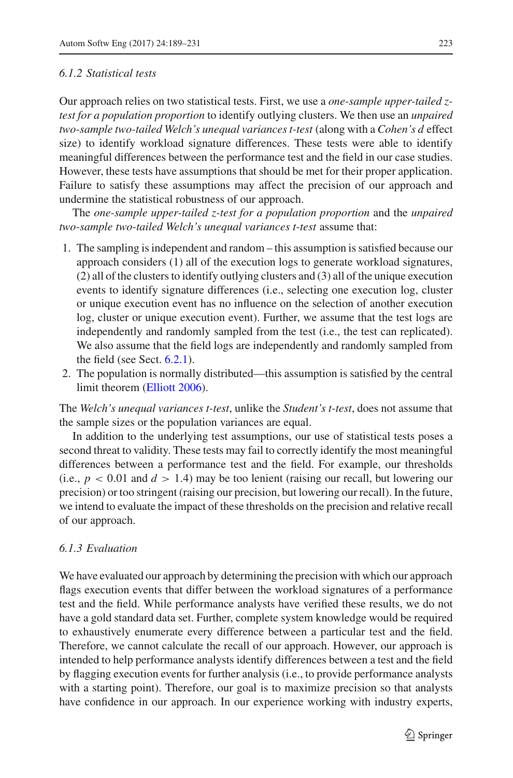#### *6.1.2 Statistical tests*

Our approach relies on two statistical tests. First, we use a *one-sample upper-tailed ztest for a population proportion* to identify outlying clusters. We then use an *unpaired two-sample two-tailed Welch's unequal variances t-test* (along with a *Cohen's d* effect size) to identify workload signature differences. These tests were able to identify meaningful differences between the performance test and the field in our case studies. However, these tests have assumptions that should be met for their proper application. Failure to satisfy these assumptions may affect the precision of our approach and undermine the statistical robustness of our approach.

The *one-sample upper-tailed z-test for a population proportion* and the *unpaired two-sample two-tailed Welch's unequal variances t-test* assume that:

- 1. The sampling is independent and random this assumption is satisfied because our approach considers (1) all of the execution logs to generate workload signatures, (2) all of the clusters to identify outlying clusters and (3) all of the unique execution events to identify signature differences (i.e., selecting one execution log, cluster or unique execution event has no influence on the selection of another execution log, cluster or unique execution event). Further, we assume that the test logs are independently and randomly sampled from the test (i.e., the test can replicated). We also assume that the field logs are independently and randomly sampled from the field (see Sect. [6.2.1\)](#page-35-0).
- 2. The population is normally distributed—this assumption is satisfied by the central limit theorem [\(Elliott 2006\)](#page-40-12).

The *Welch's unequal variances t-test*, unlike the *Student's t-test*, does not assume that the sample sizes or the population variances are equal.

In addition to the underlying test assumptions, our use of statistical tests poses a second threat to validity. These tests may fail to correctly identify the most meaningful differences between a performance test and the field. For example, our thresholds (i.e.,  $p < 0.01$  and  $d > 1.4$ ) may be too lenient (raising our recall, but lowering our precision) or too stringent (raising our precision, but lowering our recall). In the future, we intend to evaluate the impact of these thresholds on the precision and relative recall of our approach.

#### *6.1.3 Evaluation*

We have evaluated our approach by determining the precision with which our approach flags execution events that differ between the workload signatures of a performance test and the field. While performance analysts have verified these results, we do not have a gold standard data set. Further, complete system knowledge would be required to exhaustively enumerate every difference between a particular test and the field. Therefore, we cannot calculate the recall of our approach. However, our approach is intended to help performance analysts identify differences between a test and the field by flagging execution events for further analysis (i.e., to provide performance analysts with a starting point). Therefore, our goal is to maximize precision so that analysts have confidence in our approach. In our experience working with industry experts,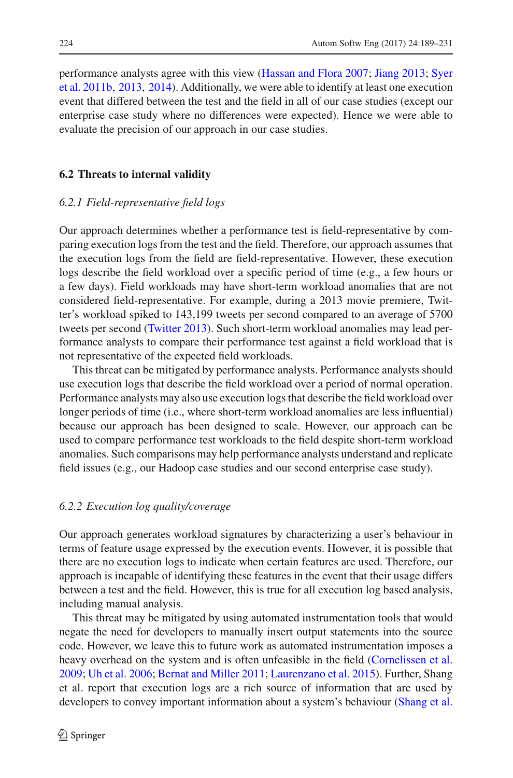perf[ormance](#page-41-21) [analysts](#page-41-21) [agree](#page-41-21) [with](#page-41-21) [this](#page-41-21) [view](#page-41-21) [\(Hassan and Flora 2007](#page-40-20)[;](#page-41-21) [Jiang 2013;](#page-40-21) Syer et al. [2011b](#page-41-21), [2013,](#page-41-7) [2014](#page-41-5)). Additionally, we were able to identify at least one execution event that differed between the test and the field in all of our case studies (except our enterprise case study where no differences were expected). Hence we were able to evaluate the precision of our approach in our case studies.

#### <span id="page-35-0"></span>**6.2 Threats to internal validity**

#### *6.2.1 Field-representative field logs*

Our approach determines whether a performance test is field-representative by comparing execution logs from the test and the field. Therefore, our approach assumes that the execution logs from the field are field-representative. However, these execution logs describe the field workload over a specific period of time (e.g., a few hours or a few days). Field workloads may have short-term workload anomalies that are not considered field-representative. For example, during a 2013 movie premiere, Twitter's workload spiked to 143,199 tweets per second compared to an average of 5700 tweets per second [\(Twitter 2013](#page-42-9)). Such short-term workload anomalies may lead performance analysts to compare their performance test against a field workload that is not representative of the expected field workloads.

This threat can be mitigated by performance analysts. Performance analysts should use execution logs that describe the field workload over a period of normal operation. Performance analysts may also use execution logs that describe the field workload over longer periods of time (i.e., where short-term workload anomalies are less influential) because our approach has been designed to scale. However, our approach can be used to compare performance test workloads to the field despite short-term workload anomalies. Such comparisons may help performance analysts understand and replicate field issues (e.g., our Hadoop case studies and our second enterprise case study).

### *6.2.2 Execution log quality/coverage*

Our approach generates workload signatures by characterizing a user's behaviour in terms of feature usage expressed by the execution events. However, it is possible that there are no execution logs to indicate when certain features are used. Therefore, our approach is incapable of identifying these features in the event that their usage differs between a test and the field. However, this is true for all execution log based analysis, including manual analysis.

This threat may be mitigated by using automated instrumentation tools that would negate the need for developers to manually insert output statements into the source code. However, we leave this to future work as automated instrumentation imposes a heavy overhead on the system and is often unfeasible in the field [\(Cornelissen et al.](#page-40-22) [2009;](#page-40-22) [Uh et al. 2006](#page-42-10); [Bernat and Miller 2011](#page-39-9); [Laurenzano et al. 2015\)](#page-40-23). Further, Shang et al. report that execution logs are a rich source of information that are used by developers to convey important information about a system's behaviour [\(Shang et al.](#page-41-3)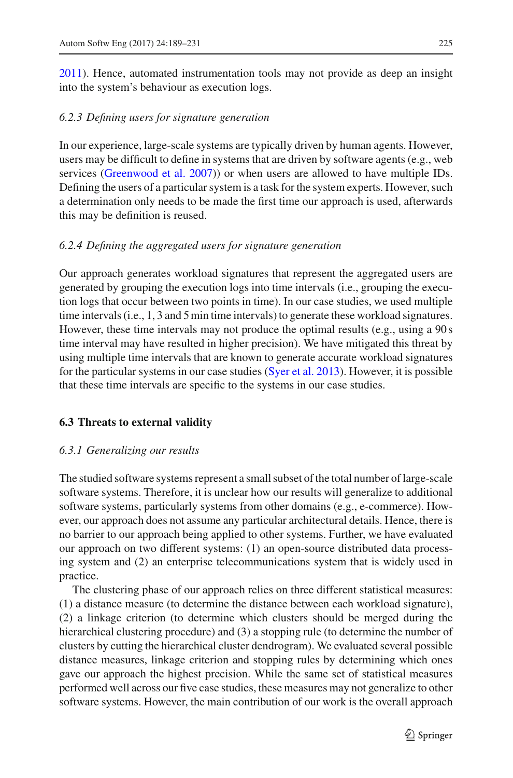[2011\)](#page-41-3). Hence, automated instrumentation tools may not provide as deep an insight into the system's behaviour as execution logs.

## *6.2.3 Defining users for signature generation*

In our experience, large-scale systems are typically driven by human agents. However, users may be difficult to define in systems that are driven by software agents (e.g., web services [\(Greenwood et al. 2007](#page-40-24))) or when users are allowed to have multiple IDs. Defining the users of a particular system is a task for the system experts. However, such a determination only needs to be made the first time our approach is used, afterwards this may be definition is reused.

## *6.2.4 Defining the aggregated users for signature generation*

Our approach generates workload signatures that represent the aggregated users are generated by grouping the execution logs into time intervals (i.e., grouping the execution logs that occur between two points in time). In our case studies, we used multiple time intervals (i.e., 1, 3 and 5 min time intervals) to generate these workload signatures. However, these time intervals may not produce the optimal results (e.g., using a 90 s time interval may have resulted in higher precision). We have mitigated this threat by using multiple time intervals that are known to generate accurate workload signatures for the particular systems in our case studies [\(Syer et al. 2013](#page-41-7)). However, it is possible that these time intervals are specific to the systems in our case studies.

## **6.3 Threats to external validity**

## *6.3.1 Generalizing our results*

The studied software systems represent a small subset of the total number of large-scale software systems. Therefore, it is unclear how our results will generalize to additional software systems, particularly systems from other domains (e.g., e-commerce). However, our approach does not assume any particular architectural details. Hence, there is no barrier to our approach being applied to other systems. Further, we have evaluated our approach on two different systems: (1) an open-source distributed data processing system and (2) an enterprise telecommunications system that is widely used in practice.

The clustering phase of our approach relies on three different statistical measures: (1) a distance measure (to determine the distance between each workload signature), (2) a linkage criterion (to determine which clusters should be merged during the hierarchical clustering procedure) and (3) a stopping rule (to determine the number of clusters by cutting the hierarchical cluster dendrogram). We evaluated several possible distance measures, linkage criterion and stopping rules by determining which ones gave our approach the highest precision. While the same set of statistical measures performed well across our five case studies, these measures may not generalize to other software systems. However, the main contribution of our work is the overall approach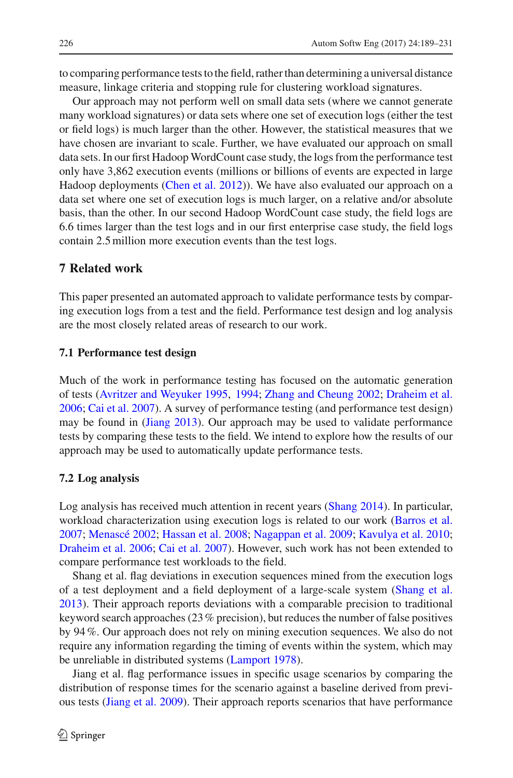to comparing performance tests to the field, rather than determining a universal distance measure, linkage criteria and stopping rule for clustering workload signatures.

Our approach may not perform well on small data sets (where we cannot generate many workload signatures) or data sets where one set of execution logs (either the test or field logs) is much larger than the other. However, the statistical measures that we have chosen are invariant to scale. Further, we have evaluated our approach on small data sets. In our first Hadoop WordCount case study, the logs from the performance test only have 3,862 execution events (millions or billions of events are expected in large Hadoop deployments [\(Chen et al. 2012\)](#page-39-7)). We have also evaluated our approach on a data set where one set of execution logs is much larger, on a relative and/or absolute basis, than the other. In our second Hadoop WordCount case study, the field logs are 6.6 times larger than the test logs and in our first enterprise case study, the field logs contain 2.5 million more execution events than the test logs.

## <span id="page-37-0"></span>**7 Related work**

This paper presented an automated approach to validate performance tests by comparing execution logs from a test and the field. Performance test design and log analysis are the most closely related areas of research to our work.

#### **7.1 Performance test design**

Much of the work in performance testing has focused on the automatic generation of tests [\(Avritzer and Weyuker 1995](#page-39-10), [1994;](#page-39-11) [Zhang and Cheung 2002;](#page-42-11) [Draheim et al.](#page-40-25) [2006;](#page-40-25) [Cai et al. 2007\)](#page-39-12). A survey of performance testing (and performance test design) may be found in [\(Jiang 2013](#page-40-21)). Our approach may be used to validate performance tests by comparing these tests to the field. We intend to explore how the results of our approach may be used to automatically update performance tests.

#### **7.2 Log analysis**

Log analysis has received much attention in recent years [\(Shang 2014\)](#page-41-22). In particular, workload characterization using execution logs is related to our work [\(Barros et al.](#page-39-13) [2007;](#page-39-13) [Menascé 2002;](#page-41-23) [Hassan et al. 2008](#page-40-26); [Nagappan et al. 2009](#page-41-24); [Kavulya et al. 2010](#page-40-27); [Draheim et al. 2006;](#page-40-25) [Cai et al. 2007](#page-39-12)). However, such work has not been extended to compare performance test workloads to the field.

Shang et al. flag deviations in execution sequences mined from the execution logs of a test deployment and a field deployment of a large-scale system [\(Shang et al.](#page-41-25) [2013\)](#page-41-25). Their approach reports deviations with a comparable precision to traditional keyword search approaches (23% precision), but reduces the number of false positives by 94%. Our approach does not rely on mining execution sequences. We also do not require any information regarding the timing of events within the system, which may be unreliable in distributed systems [\(Lamport 1978](#page-40-19)).

Jiang et al. flag performance issues in specific usage scenarios by comparing the distribution of response times for the scenario against a baseline derived from previous tests [\(Jiang et al. 2009\)](#page-40-28). Their approach reports scenarios that have performance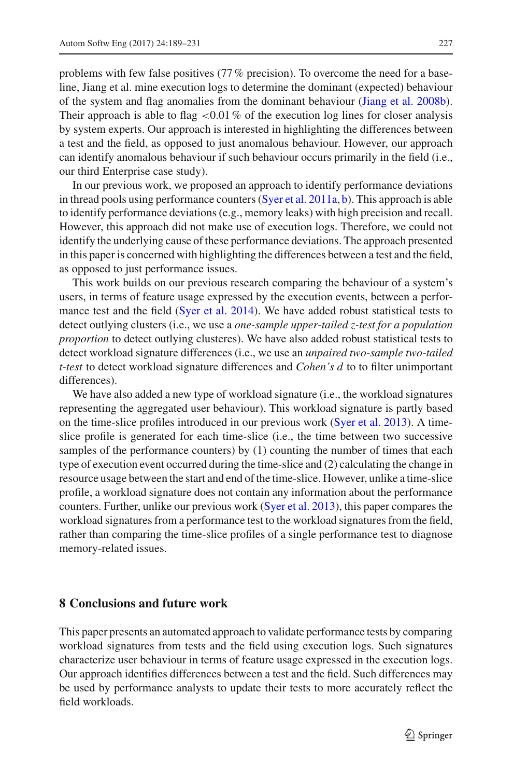problems with few false positives (77% precision). To overcome the need for a baseline, Jiang et al. mine execution logs to determine the dominant (expected) behaviour of the system and flag anomalies from the dominant behaviour [\(Jiang et al. 2008b](#page-40-10)). Their approach is able to flag  $\lt 0.01\%$  of the execution log lines for closer analysis by system experts. Our approach is interested in highlighting the differences between a test and the field, as opposed to just anomalous behaviour. However, our approach can identify anomalous behaviour if such behaviour occurs primarily in the field (i.e., our third Enterprise case study).

In our previous work, we proposed an approach to identify performance deviations in thread pools using performance counters [\(Syer et al. 2011a](#page-41-26), [b\)](#page-41-21). This approach is able to identify performance deviations (e.g., memory leaks) with high precision and recall. However, this approach did not make use of execution logs. Therefore, we could not identify the underlying cause of these performance deviations. The approach presented in this paper is concerned with highlighting the differences between a test and the field, as opposed to just performance issues.

This work builds on our previous research comparing the behaviour of a system's users, in terms of feature usage expressed by the execution events, between a performance test and the field [\(Syer et al. 2014\)](#page-41-5). We have added robust statistical tests to detect outlying clusters (i.e., we use a *one-sample upper-tailed z-test for a population proportion* to detect outlying clusteres). We have also added robust statistical tests to detect workload signature differences (i.e., we use an *unpaired two-sample two-tailed t-test* to detect workload signature differences and *Cohen's d* to to filter unimportant differences).

We have also added a new type of workload signature (i.e., the workload signatures representing the aggregated user behaviour). This workload signature is partly based on the time-slice profiles introduced in our previous work [\(Syer et al. 2013\)](#page-41-7). A timeslice profile is generated for each time-slice (i.e., the time between two successive samples of the performance counters) by (1) counting the number of times that each type of execution event occurred during the time-slice and (2) calculating the change in resource usage between the start and end of the time-slice. However, unlike a time-slice profile, a workload signature does not contain any information about the performance counters. Further, unlike our previous work [\(Syer et al. 2013](#page-41-7)), this paper compares the workload signatures from a performance test to the workload signatures from the field, rather than comparing the time-slice profiles of a single performance test to diagnose memory-related issues.

## <span id="page-38-0"></span>**8 Conclusions and future work**

This paper presents an automated approach to validate performance tests by comparing workload signatures from tests and the field using execution logs. Such signatures characterize user behaviour in terms of feature usage expressed in the execution logs. Our approach identifies differences between a test and the field. Such differences may be used by performance analysts to update their tests to more accurately reflect the field workloads.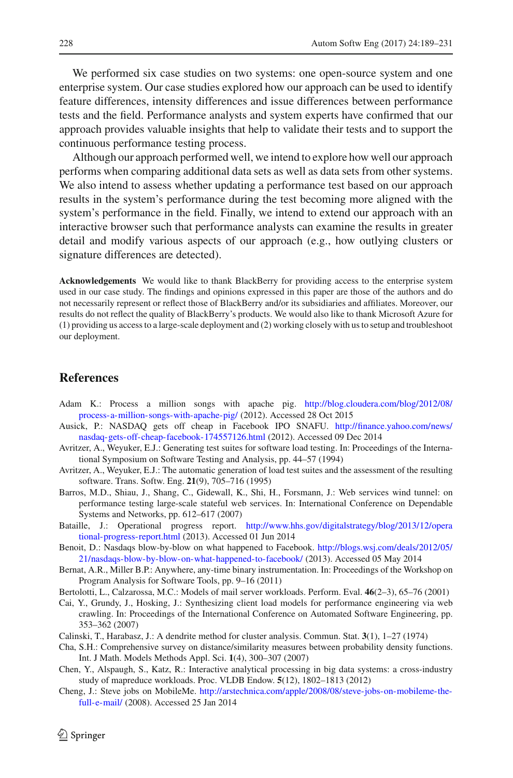We performed six case studies on two systems: one open-source system and one enterprise system. Our case studies explored how our approach can be used to identify feature differences, intensity differences and issue differences between performance tests and the field. Performance analysts and system experts have confirmed that our approach provides valuable insights that help to validate their tests and to support the continuous performance testing process.

Although our approach performed well, we intend to explore how well our approach performs when comparing additional data sets as well as data sets from other systems. We also intend to assess whether updating a performance test based on our approach results in the system's performance during the test becoming more aligned with the system's performance in the field. Finally, we intend to extend our approach with an interactive browser such that performance analysts can examine the results in greater detail and modify various aspects of our approach (e.g., how outlying clusters or signature differences are detected).

**Acknowledgements** We would like to thank BlackBerry for providing access to the enterprise system used in our case study. The findings and opinions expressed in this paper are those of the authors and do not necessarily represent or reflect those of BlackBerry and/or its subsidiaries and affiliates. Moreover, our results do not reflect the quality of BlackBerry's products. We would also like to thank Microsoft Azure for (1) providing us access to a large-scale deployment and (2) working closely with us to setup and troubleshoot our deployment.

## **References**

- <span id="page-39-8"></span>Adam K.: Process a million songs with apache pig. [http://blog.cloudera.com/blog/2012/08/](http://blog.cloudera.com/blog/2012/08/process-a-million-songs-with-apache-pig/) [process-a-million-songs-with-apache-pig/](http://blog.cloudera.com/blog/2012/08/process-a-million-songs-with-apache-pig/) (2012). Accessed 28 Oct 2015
- <span id="page-39-3"></span>Ausick, P.: NASDAQ gets off cheap in Facebook IPO SNAFU. [http://finance.yahoo.com/news/](http://finance.yahoo.com/news/nasdaq-gets-off-cheap-facebook-174557126.html) [nasdaq-gets-off-cheap-facebook-174557126.html](http://finance.yahoo.com/news/nasdaq-gets-off-cheap-facebook-174557126.html) (2012). Accessed 09 Dec 2014
- <span id="page-39-11"></span>Avritzer, A., Weyuker, E.J.: Generating test suites for software load testing. In: Proceedings of the International Symposium on Software Testing and Analysis, pp. 44–57 (1994)
- <span id="page-39-10"></span>Avritzer, A., Weyuker, E.J.: The automatic generation of load test suites and the assessment of the resulting software. Trans. Softw. Eng. **21**(9), 705–716 (1995)
- <span id="page-39-13"></span>Barros, M.D., Shiau, J., Shang, C., Gidewall, K., Shi, H., Forsmann, J.: Web services wind tunnel: on performance testing large-scale stateful web services. In: International Conference on Dependable Systems and Networks, pp. 612–617 (2007)
- <span id="page-39-1"></span>Bataille, J.: Operational progress report. [http://www.hhs.gov/digitalstrategy/blog/2013/12/opera](http://www.hhs.gov/digitalstrategy/blog/2013/12/operational-progress-report.html) [tional-progress-report.html](http://www.hhs.gov/digitalstrategy/blog/2013/12/operational-progress-report.html) (2013). Accessed 01 Jun 2014
- <span id="page-39-2"></span>Benoit, D.: Nasdaqs blow-by-blow on what happened to Facebook. [http://blogs.wsj.com/deals/2012/05/](http://blogs.wsj.com/deals/2012/05/21/nasdaqs-blow-by-blow-on-what-happened-to-facebook/) [21/nasdaqs-blow-by-blow-on-what-happened-to-facebook/](http://blogs.wsj.com/deals/2012/05/21/nasdaqs-blow-by-blow-on-what-happened-to-facebook/) (2013). Accessed 05 May 2014
- <span id="page-39-9"></span>Bernat, A.R., Miller B.P.: Anywhere, any-time binary instrumentation. In: Proceedings of the Workshop on Program Analysis for Software Tools, pp. 9–16 (2011)
- Bertolotti, L., Calzarossa, M.C.: Models of mail server workloads. Perform. Eval. **46**(2–3), 65–76 (2001)
- <span id="page-39-12"></span><span id="page-39-4"></span>Cai, Y., Grundy, J., Hosking, J.: Synthesizing client load models for performance engineering via web crawling. In: Proceedings of the International Conference on Automated Software Engineering, pp. 353–362 (2007)
- <span id="page-39-6"></span><span id="page-39-5"></span>Calinski, T., Harabasz, J.: A dendrite method for cluster analysis. Commun. Stat. **3**(1), 1–27 (1974)
- Cha, S.H.: Comprehensive survey on distance/similarity measures between probability density functions. Int. J Math. Models Methods Appl. Sci. **1**(4), 300–307 (2007)
- <span id="page-39-7"></span>Chen, Y., Alspaugh, S., Katz, R.: Interactive analytical processing in big data systems: a cross-industry study of mapreduce workloads. Proc. VLDB Endow. **5**(12), 1802–1813 (2012)
- <span id="page-39-0"></span>Cheng, J.: Steve jobs on MobileMe. [http://arstechnica.com/apple/2008/08/steve-jobs-on-mobileme-the](http://arstechnica.com/apple/2008/08/steve-jobs-on-mobileme-the-full-e-mail/)[full-e-mail/](http://arstechnica.com/apple/2008/08/steve-jobs-on-mobileme-the-full-e-mail/) (2008). Accessed 25 Jan 2014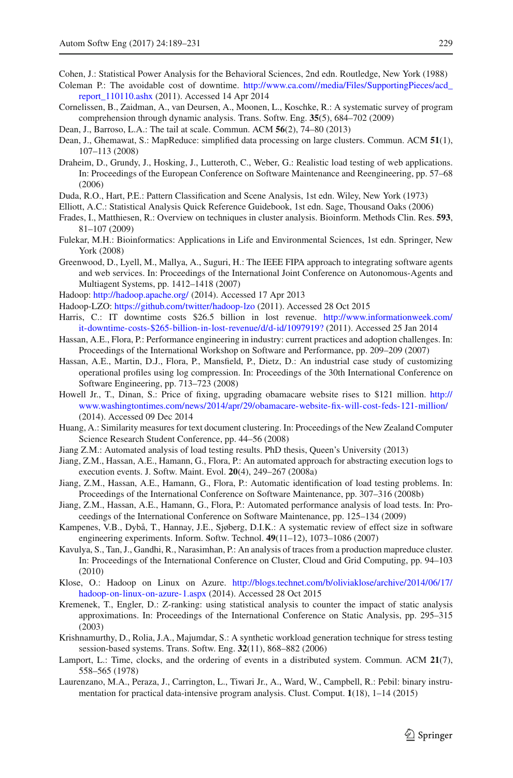Cohen, J.: Statistical Power Analysis for the Behavioral Sciences, 2nd edn. Routledge, New York (1988)

- <span id="page-40-11"></span><span id="page-40-2"></span>Coleman P.: The avoidable cost of downtime. [http://www.ca.com//media/Files/SupportingPieces/acd\\_](http://www.ca.com//media/Files/SupportingPieces/acd_report_110110.ashx) [report\\_110110.ashx](http://www.ca.com//media/Files/SupportingPieces/acd_report_110110.ashx) (2011). Accessed 14 Apr 2014
- <span id="page-40-22"></span>Cornelissen, B., Zaidman, A., van Deursen, A., Moonen, L., Koschke, R.: A systematic survey of program comprehension through dynamic analysis. Trans. Softw. Eng. **35**(5), 684–702 (2009)
- <span id="page-40-0"></span>Dean, J., Barroso, L.A.: The tail at scale. Commun. ACM **56**(2), 74–80 (2013)
- <span id="page-40-15"></span>Dean, J., Ghemawat, S.: MapReduce: simplified data processing on large clusters. Commun. ACM **51**(1), 107–113 (2008)
- <span id="page-40-25"></span>Draheim, D., Grundy, J., Hosking, J., Lutteroth, C., Weber, G.: Realistic load testing of web applications. In: Proceedings of the European Conference on Software Maintenance and Reengineering, pp. 57–68 (2006)
- <span id="page-40-8"></span>Duda, R.O., Hart, P.E.: Pattern Classification and Scene Analysis, 1st edn. Wiley, New York (1973)
- <span id="page-40-12"></span>Elliott, A.C.: Statistical Analysis Quick Reference Guidebook, 1st edn. Sage, Thousand Oaks (2006)
- <span id="page-40-6"></span>Frades, I., Matthiesen, R.: Overview on techniques in cluster analysis. Bioinform. Methods Clin. Res. **593**, 81–107 (2009)
- <span id="page-40-5"></span>Fulekar, M.H.: Bioinformatics: Applications in Life and Environmental Sciences, 1st edn. Springer, New York (2008)
- <span id="page-40-24"></span>Greenwood, D., Lyell, M., Mallya, A., Suguri, H.: The IEEE FIPA approach to integrating software agents and web services. In: Proceedings of the International Joint Conference on Autonomous-Agents and Multiagent Systems, pp. 1412–1418 (2007)
- <span id="page-40-14"></span>Hadoop: <http://hadoop.apache.org/> (2014). Accessed 17 Apr 2013
- <span id="page-40-17"></span>Hadoop-LZO: <https://github.com/twitter/hadoop-lzo> (2011). Accessed 28 Oct 2015
- <span id="page-40-1"></span>Harris, C.: IT downtime costs \$26.5 billion in lost revenue. [http://www.informationweek.com/](http://www.informationweek.com/it-downtime-costs-$265-billion-in-lost-revenue/d/d-id/1097919?) [it-downtime-costs-\\$265-billion-in-lost-revenue/d/d-id/1097919?](http://www.informationweek.com/it-downtime-costs-$265-billion-in-lost-revenue/d/d-id/1097919?) (2011). Accessed 25 Jan 2014
- <span id="page-40-20"></span>Hassan, A.E., Flora, P.: Performance engineering in industry: current practices and adoption challenges. In: Proceedings of the International Workshop on Software and Performance, pp. 209–209 (2007)
- <span id="page-40-26"></span>Hassan, A.E., Martin, D.J., Flora, P., Mansfield, P., Dietz, D.: An industrial case study of customizing operational profiles using log compression. In: Proceedings of the 30th International Conference on Software Engineering, pp. 713–723 (2008)
- <span id="page-40-3"></span>Howell Jr., T., Dinan, S.: Price of fixing, upgrading obamacare website rises to \$121 million. [http://](http://www.washingtontimes.com/news/2014/apr/29/obamacare-website-fix-will-cost-feds-121-million/) [www.washingtontimes.com/news/2014/apr/29/obamacare-website-fix-will-cost-feds-121-million/](http://www.washingtontimes.com/news/2014/apr/29/obamacare-website-fix-will-cost-feds-121-million/) (2014). Accessed 09 Dec 2014
- <span id="page-40-7"></span>Huang, A.: Similarity measures for text document clustering. In: Proceedings of the New Zealand Computer Science Research Student Conference, pp. 44–56 (2008)
- <span id="page-40-21"></span>Jiang Z.M.: Automated analysis of load testing results. PhD thesis, Queen's University (2013)
- <span id="page-40-4"></span>Jiang, Z.M., Hassan, A.E., Hamann, G., Flora, P.: An automated approach for abstracting execution logs to execution events. J. Softw. Maint. Evol. **20**(4), 249–267 (2008a)
- <span id="page-40-10"></span>Jiang, Z.M., Hassan, A.E., Hamann, G., Flora, P.: Automatic identification of load testing problems. In: Proceedings of the International Conference on Software Maintenance, pp. 307–316 (2008b)
- <span id="page-40-28"></span>Jiang, Z.M., Hassan, A.E., Hamann, G., Flora, P.: Automated performance analysis of load tests. In: Proceedings of the International Conference on Software Maintenance, pp. 125–134 (2009)
- <span id="page-40-13"></span>Kampenes, V.B., Dybå, T., Hannay, J.E., Sjøberg, D.I.K.: A systematic review of effect size in software engineering experiments. Inform. Softw. Technol. **49**(11–12), 1073–1086 (2007)
- <span id="page-40-27"></span>Kavulya, S., Tan, J., Gandhi, R., Narasimhan, P.: An analysis of traces from a production mapreduce cluster. In: Proceedings of the International Conference on Cluster, Cloud and Grid Computing, pp. 94–103 (2010)
- <span id="page-40-16"></span>Klose, O.: Hadoop on Linux on Azure. [http://blogs.technet.com/b/oliviaklose/archive/2014/06/17/](http://blogs.technet.com/b/oliviaklose/archive/2014/06/17/hadoop-on-linux-on-azure-1.aspx) [hadoop-on-linux-on-azure-1.aspx](http://blogs.technet.com/b/oliviaklose/archive/2014/06/17/hadoop-on-linux-on-azure-1.aspx) (2014). Accessed 28 Oct 2015
- <span id="page-40-9"></span>Kremenek, T., Engler, D.: Z-ranking: using statistical analysis to counter the impact of static analysis approximations. In: Proceedings of the International Conference on Static Analysis, pp. 295–315 (2003)
- <span id="page-40-18"></span>Krishnamurthy, D., Rolia, J.A., Majumdar, S.: A synthetic workload generation technique for stress testing session-based systems. Trans. Softw. Eng. **32**(11), 868–882 (2006)
- <span id="page-40-19"></span>Lamport, L.: Time, clocks, and the ordering of events in a distributed system. Commun. ACM **21**(7), 558–565 (1978)
- <span id="page-40-23"></span>Laurenzano, M.A., Peraza, J., Carrington, L., Tiwari Jr., A., Ward, W., Campbell, R.: Pebil: binary instrumentation for practical data-intensive program analysis. Clust. Comput. **1**(18), 1–14 (2015)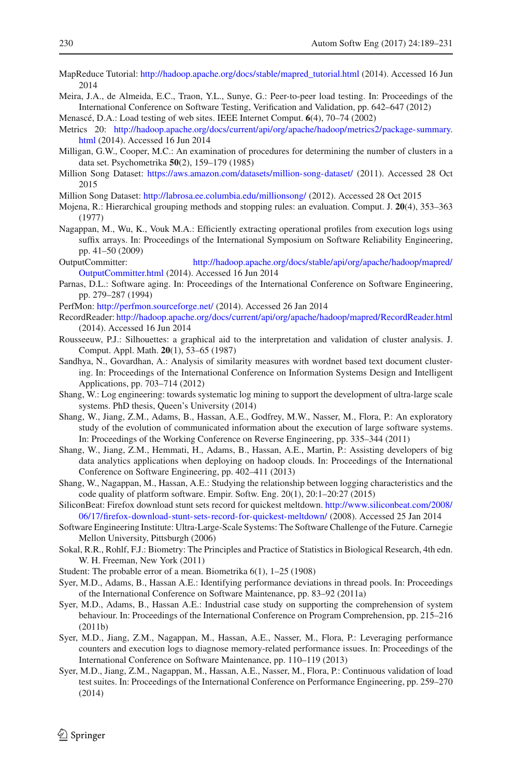- <span id="page-41-14"></span>MapReduce Tutorial: [http://hadoop.apache.org/docs/stable/mapred\\_tutorial.html](http://hadoop.apache.org/docs/stable/mapred_tutorial.html) (2014). Accessed 16 Jun 2014
- <span id="page-41-20"></span>Meira, J.A., de Almeida, E.C., Traon, Y.L., Sunye, G.: Peer-to-peer load testing. In: Proceedings of the International Conference on Software Testing, Verification and Validation, pp. 642–647 (2012)

<span id="page-41-23"></span>Menascé, D.A.: Load testing of web sites. IEEE Internet Comput. **6**(4), 70–74 (2002)

- <span id="page-41-16"></span>Metrics 20: [http://hadoop.apache.org/docs/current/api/org/apache/hadoop/metrics2/package-summary.](http://hadoop.apache.org/docs/current/api/org/apache/hadoop/metrics2/package-summary.html) [html](http://hadoop.apache.org/docs/current/api/org/apache/hadoop/metrics2/package-summary.html) (2014). Accessed 16 Jun 2014
- <span id="page-41-9"></span>Milligan, G.W., Cooper, M.C.: An examination of procedures for determining the number of clusters in a data set. Psychometrika **50**(2), 159–179 (1985)
- <span id="page-41-19"></span>Million Song Dataset: <https://aws.amazon.com/datasets/million-song-dataset/> (2011). Accessed 28 Oct 2015
- <span id="page-41-18"></span>Million Song Dataset: <http://labrosa.ee.columbia.edu/millionsong/> (2012). Accessed 28 Oct 2015
- <span id="page-41-10"></span>Mojena, R.: Hierarchical grouping methods and stopping rules: an evaluation. Comput. J. **20**(4), 353–363 (1977)
- <span id="page-41-24"></span>Nagappan, M., Wu, K., Vouk M.A.: Efficiently extracting operational profiles from execution logs using suffix arrays. In: Proceedings of the International Symposium on Software Reliability Engineering, pp. 41–50 (2009)
- <span id="page-41-15"></span>OutputCommitter: [http://hadoop.apache.org/docs/stable/api/org/apache/hadoop/mapred/](http://hadoop.apache.org/docs/stable/api/org/apache/hadoop/mapred/OutputCommitter.html) [OutputCommitter.html](http://hadoop.apache.org/docs/stable/api/org/apache/hadoop/mapred/OutputCommitter.html) (2014). Accessed 16 Jun 2014
- <span id="page-41-2"></span>Parnas, D.L.: Software aging. In: Proceedings of the International Conference on Software Engineering, pp. 279–287 (1994)
- <span id="page-41-6"></span>PerfMon: <http://perfmon.sourceforge.net/> (2014). Accessed 26 Jan 2014
- <span id="page-41-17"></span>RecordReader: <http://hadoop.apache.org/docs/current/api/org/apache/hadoop/mapred/RecordReader.html> (2014). Accessed 16 Jun 2014
- <span id="page-41-11"></span>Rousseeuw, P.J.: Silhouettes: a graphical aid to the interpretation and validation of cluster analysis. J. Comput. Appl. Math. **20**(1), 53–65 (1987)
- <span id="page-41-8"></span>Sandhya, N., Govardhan, A.: Analysis of similarity measures with wordnet based text document clustering. In: Proceedings of the International Conference on Information Systems Design and Intelligent Applications, pp. 703–714 (2012)
- <span id="page-41-22"></span>Shang, W.: Log engineering: towards systematic log mining to support the development of ultra-large scale systems. PhD thesis, Queen's University (2014)
- <span id="page-41-3"></span>Shang, W., Jiang, Z.M., Adams, B., Hassan, A.E., Godfrey, M.W., Nasser, M., Flora, P.: An exploratory study of the evolution of communicated information about the execution of large software systems. In: Proceedings of the Working Conference on Reverse Engineering, pp. 335–344 (2011)
- <span id="page-41-25"></span>Shang, W., Jiang, Z.M., Hemmati, H., Adams, B., Hassan, A.E., Martin, P.: Assisting developers of big data analytics applications when deploying on hadoop clouds. In: Proceedings of the International Conference on Software Engineering, pp. 402–411 (2013)
- <span id="page-41-4"></span>Shang, W., Nagappan, M., Hassan, A.E.: Studying the relationship between logging characteristics and the code quality of platform software. Empir. Softw. Eng. 20(1), 20:1–20:27 (2015)
- <span id="page-41-1"></span>SiliconBeat: Firefox download stunt sets record for quickest meltdown. [http://www.siliconbeat.com/2008/](http://www.siliconbeat.com/2008/06/17/firefox-download-stunt-sets-record-for-quickest-meltdown/) [06/17/firefox-download-stunt-sets-record-for-quickest-meltdown/](http://www.siliconbeat.com/2008/06/17/firefox-download-stunt-sets-record-for-quickest-meltdown/) (2008). Accessed 25 Jan 2014
- <span id="page-41-0"></span>Software Engineering Institute: Ultra-Large-Scale Systems: The Software Challenge of the Future. Carnegie Mellon University, Pittsburgh (2006)
- <span id="page-41-12"></span>Sokal, R.R., Rohlf, F.J.: Biometry: The Principles and Practice of Statistics in Biological Research, 4th edn. W. H. Freeman, New York (2011)
- <span id="page-41-13"></span>Student: The probable error of a mean. Biometrika 6(1), 1–25 (1908)
- <span id="page-41-26"></span>Syer, M.D., Adams, B., Hassan A.E.: Identifying performance deviations in thread pools. In: Proceedings of the International Conference on Software Maintenance, pp. 83–92 (2011a)
- <span id="page-41-21"></span>Syer, M.D., Adams, B., Hassan A.E.: Industrial case study on supporting the comprehension of system behaviour. In: Proceedings of the International Conference on Program Comprehension, pp. 215–216 (2011b)
- <span id="page-41-7"></span>Syer, M.D., Jiang, Z.M., Nagappan, M., Hassan, A.E., Nasser, M., Flora, P.: Leveraging performance counters and execution logs to diagnose memory-related performance issues. In: Proceedings of the International Conference on Software Maintenance, pp. 110–119 (2013)
- <span id="page-41-5"></span>Syer, M.D., Jiang, Z.M., Nagappan, M., Hassan, A.E., Nasser, M., Flora, P.: Continuous validation of load test suites. In: Proceedings of the International Conference on Performance Engineering, pp. 259–270 (2014)